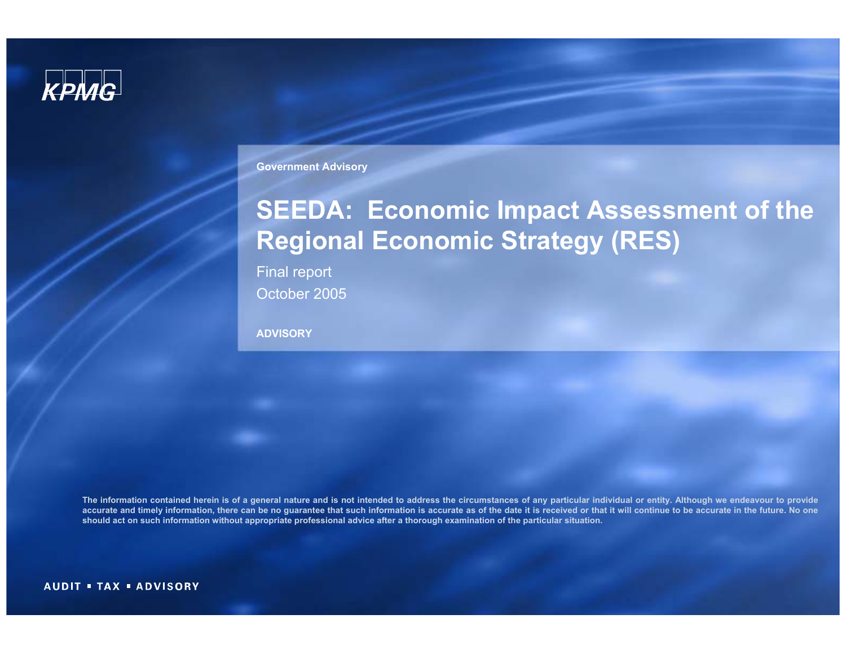

**Government Advisory**

# **SEEDA: Economic Impact Assessment of the Regional Economic Strategy (RES)**

Final report October 2005

**ADVISORY**

**The information contained herein is of a general nature and is not intended to address the circumstances of any particular individual or entity. Although we endeavour to provide accurate and timely information, there can be no guarantee that such information is accurate as of the date it is received or that it will continue to be accurate in the future. No one should act on such information without appropriate professional advice after a thorough examination of the particular situation.**

**AUDIT = TAX = ADVISORY**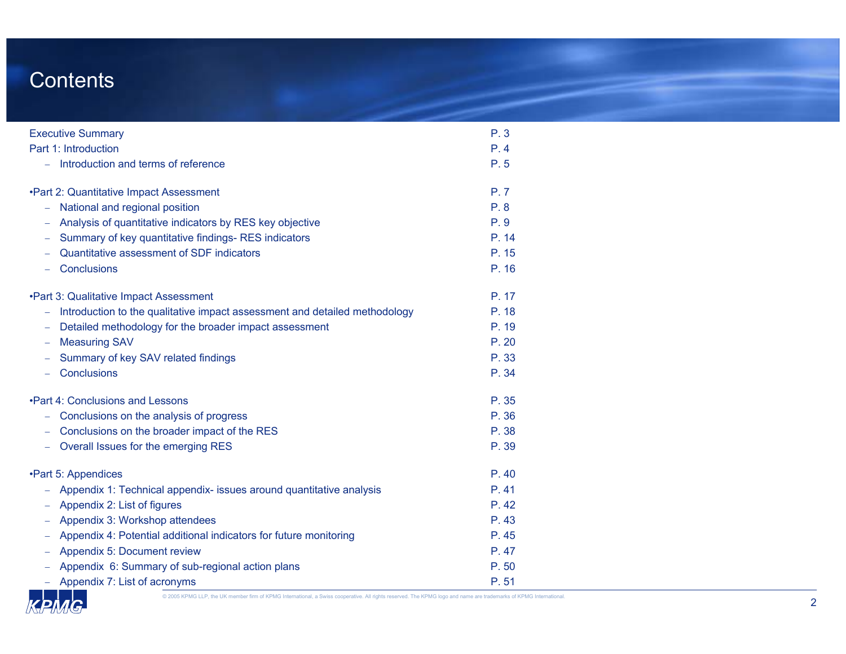### Contents

| <b>Executive Summary</b>                                                                        | P.3   |
|-------------------------------------------------------------------------------------------------|-------|
| Part 1: Introduction                                                                            | P.4   |
| Introduction and terms of reference                                                             | P.5   |
| .Part 2: Quantitative Impact Assessment                                                         | P.7   |
| - National and regional position                                                                | P.8   |
| Analysis of quantitative indicators by RES key objective                                        | P.9   |
| Summary of key quantitative findings-RES indicators                                             | P. 14 |
| Quantitative assessment of SDF indicators                                                       | P. 15 |
| Conclusions<br>$\sim$ $-$                                                                       | P. 16 |
| .Part 3: Qualitative Impact Assessment                                                          | P. 17 |
| Introduction to the qualitative impact assessment and detailed methodology<br>$\qquad \qquad -$ | P. 18 |
| Detailed methodology for the broader impact assessment<br>-                                     | P. 19 |
| <b>Measuring SAV</b><br>$\qquad \qquad -$                                                       | P.20  |
| Summary of key SAV related findings                                                             | P. 33 |
| Conclusions<br>$-$                                                                              | P. 34 |
| . Part 4: Conclusions and Lessons                                                               | P. 35 |
| Conclusions on the analysis of progress                                                         | P. 36 |
| Conclusions on the broader impact of the RES                                                    | P. 38 |
| Overall Issues for the emerging RES<br>$\overline{\phantom{0}}$                                 | P. 39 |
| •Part 5: Appendices                                                                             | P.40  |
| Appendix 1: Technical appendix- issues around quantitative analysis                             | P.41  |
| Appendix 2: List of figures<br>$\qquad \qquad -$                                                | P.42  |
| Appendix 3: Workshop attendees                                                                  | P.43  |
| Appendix 4: Potential additional indicators for future monitoring                               | P.45  |
| Appendix 5: Document review                                                                     | P.47  |
| Appendix 6: Summary of sub-regional action plans                                                | P.50  |
| - Appendix 7: List of acronyms                                                                  | P.51  |

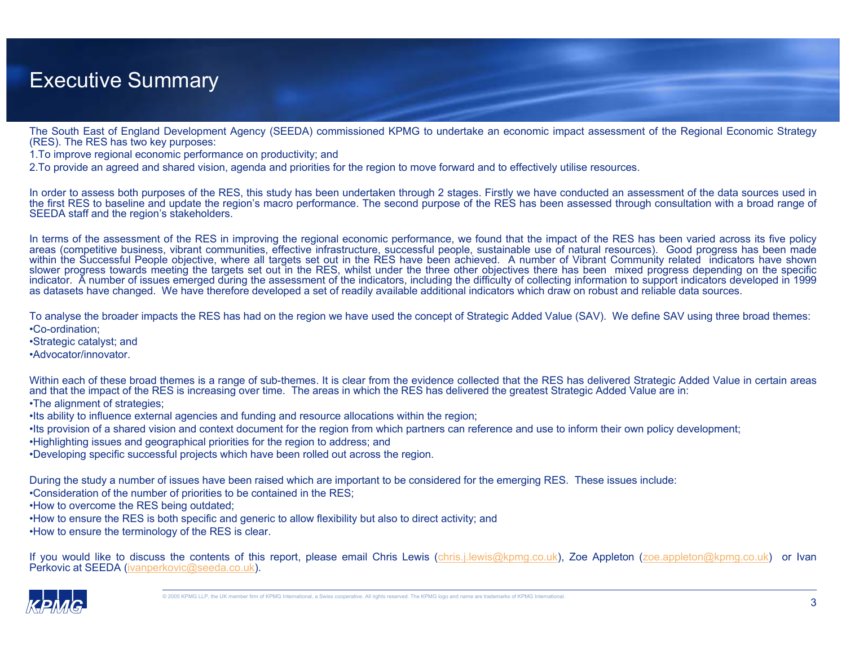### Executive Summary

The South East of England Development Agency (SEEDA) commissioned KPMG to undertake an economic impact assessment of the Regional Economic Strategy (RES). The RES has two key purposes:

1.To improve regional economic performance on productivity; and

2.To provide an agreed and shared vision, agenda and priorities for the region to move forward and to effectively utilise resources.

In order to assess both purposes of the RES, this study has been undertaken through 2 stages. Firstly we have conducted an assessment of the data sources used in the first RES to baseline and update the region's macro performance. The second purpose of the RES has been assessed through consultation with a broad range of SEEDA staff and the region's stakeholders.

In terms of the assessment of the RES in improving the regional economic performance, we found that the impact of the RES has been varied across its five policy areas (competitive business, vibrant communities, effective infrastructure, successful people, sustainable use of natural resources). Good progress has been made within the Successful People objective, where all targets set out in the RES have been achieved. A number of Vibrant Community related indicators have shown slower progress towards meeting the targets set out in the RES, whilst under the three other objectives there has been mixed progress depending on the specific indicator. A number of issues emerged during the assessment of the indicators, including the difficulty of collecting information to support indicators developed in 1999 as datasets have changed. We have therefore developed a set of readily available additional indicators which draw on robust and reliable data sources.

To analyse the broader impacts the RES has had on the region we have used the concept of Strategic Added Value (SAV). We define SAV using three broad themes: •Co-ordination;

•Strategic catalyst; and

•Advocator/innovator.

Within each of these broad themes is a range of sub-themes. It is clear from the evidence collected that the RES has delivered Strategic Added Value in certain areas and that the impact of the RES is increasing over time. The areas in which the RES has delivered the greatest Strategic Added Value are in:

•The alignment of strategies;

•Its ability to influence external agencies and funding and resource allocations within the region;

•Its provision of a shared vision and context document for the region from which partners can reference and use to inform their own policy development;

•Highlighting issues and geographical priorities for the region to address; and

•Developing specific successful projects which have been rolled out across the region.

During the study a number of issues have been raised which are important to be considered for the emerging RES. These issues include:

•Consideration of the number of priorities to be contained in the RES;

•How to overcome the RES being outdated;

•How to ensure the RES is both specific and generic to allow flexibility but also to direct activity; and

•How to ensure the terminology of the RES is clear.

If you would like to discuss the contents of this report, please email Chris Lewis (chris.j.lewis@kpmg.co.uk), Zoe Appleton (zoe.appleton@kpmg.co.uk) or Ivan Perkovic at SEEDA (ivanperkovic@seeda.co.uk).

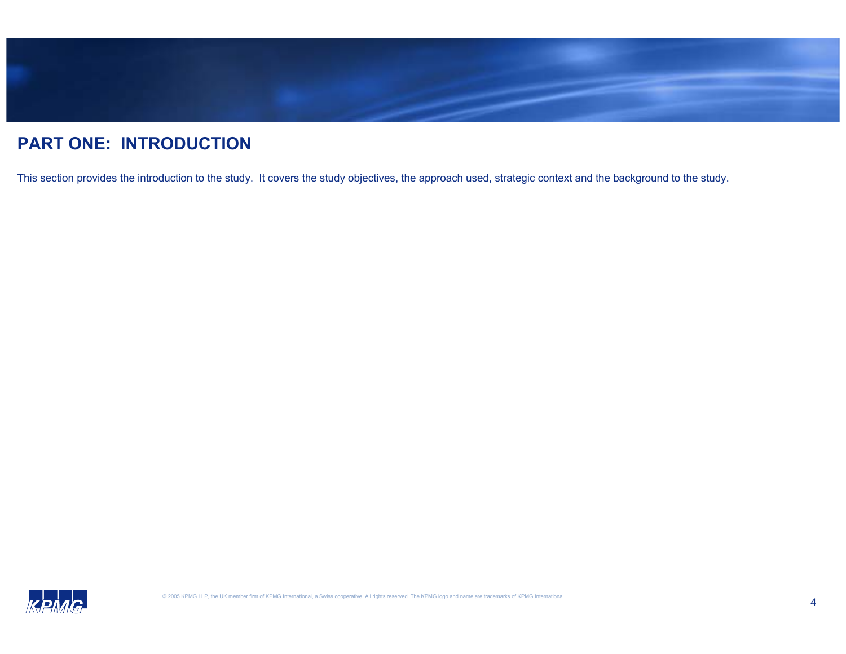

### **PART ONE: INTRODUCTION**

This section provides the introduction to the study. It covers the study objectives, the approach used, strategic context and the background to the study.

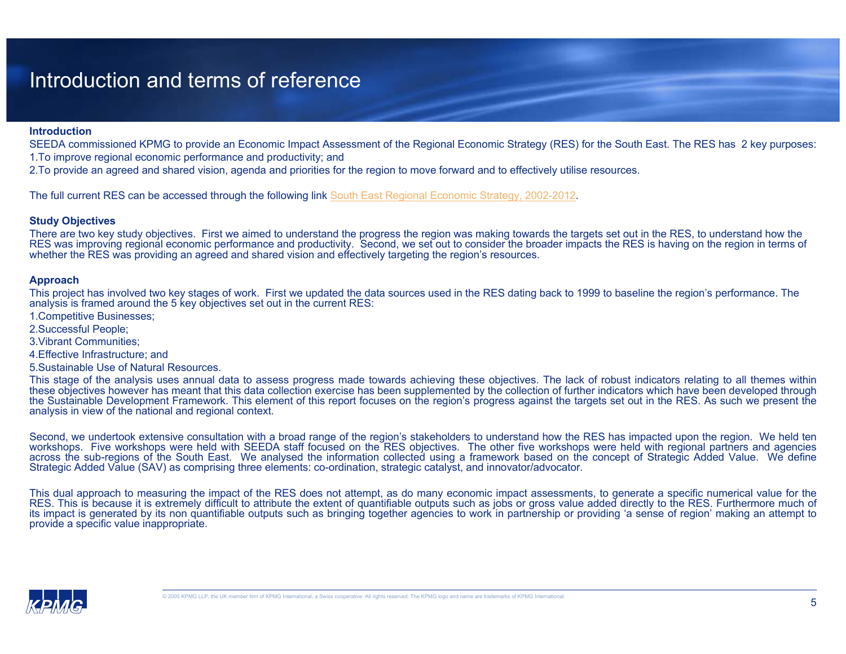### Introduction and terms of reference

#### **Introduction**

SEEDA commissioned KPMG to provide an Economic Impact Assessment of the Regional Economic Strategy (RES) for the South East. The RES has 2 key purposes:

1.To improve regional economic performance and productivity; and

2.To provide an agreed and shared vision, agenda and priorities for the region to move forward and to effectively utilise resources.

The full current RES can be accessed through the following link South East Regional Economic Strategy, 2002-2012.

#### **Study Objectives**

There are two key study objectives. First we aimed to understand the progress the region was making towards the targets set out in the RES, to understand how the RES was improving regional economic performance and productivity. Second, we set out to consider the broader impacts the RES is having on the region in terms of whether the RES was providing an agreed and shared vision and effectively targeting the region's resources.

#### **Approach**

This project has involved two key stages of work. First we updated the data sources used in the RES dating back to 1999 to baseline the region's performance. The analysis is framed around the 5 key objectives set out in the current RES:

- 1.Competitive Businesses;
- 2.Successful People;
- 3.Vibrant Communities;
- 4.Effective Infrastructure; and
- 5.Sustainable Use of Natural Resources.

This stage of the analysis uses annual data to assess progress made towards achieving these objectives. The lack of robust indicators relating to all themes within these objectives however has meant that this data collection exercise has been supplemented by the collection of further indicators which have been developed through the Sustainable Development Framework. This element of this report focuses on the region's progress against the targets set out in the RES. As such we present the analysis in view of the national and regional context.

Second, we undertook extensive consultation with a broad range of the region's stakeholders to understand how the RES has impacted upon the region. We held ten workshops. Five workshops were held with SEEDA staff focused on the RES objectives. The other five workshops were held with regional partners and agencies across the sub-regions of the South East. We analysed the information collected using a framework based on the concept of Strategic Added Value. We define Strategic Added Value (SAV) as comprising three elements: co-ordination, strategic catalyst, and innovator/advocator.

This dual approach to measuring the impact of the RES does not attempt, as do many economic impact assessments, to generate a specific numerical value for the RES. This is because it is extremely difficult to attribute the extent of quantifiable outputs such as jobs or gross value added directly to the RES. Furthermore much of its impact is generated by its non quantifiable outputs such as bringing together agencies to work in partnership or providing 'a sense of region' making an attempt to provide a specific value inappropriate.

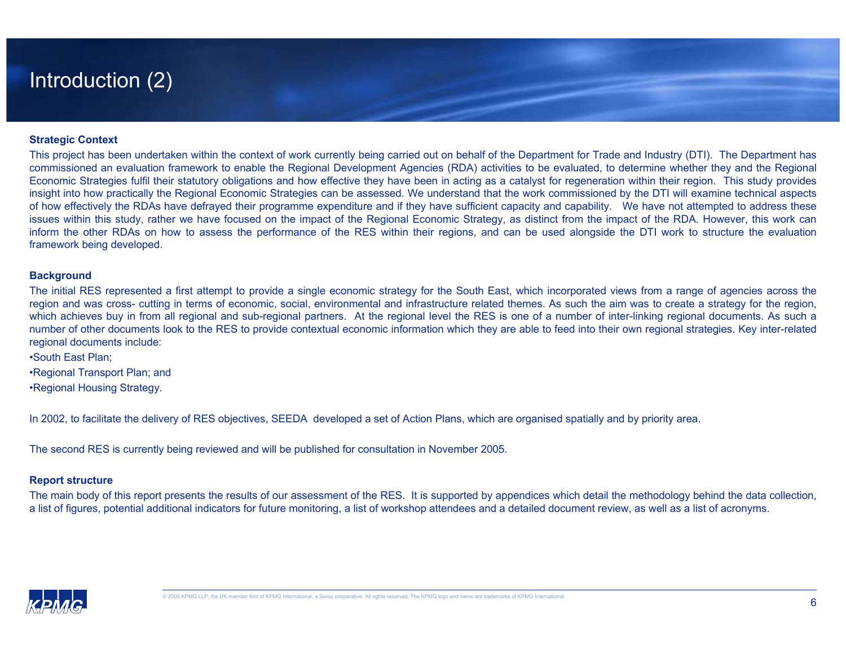### Introduction (2)

#### **Strategic Context**

This project has been undertaken within the context of work currently being carried out on behalf of the Department for Trade and Industry (DTI). The Department has commissioned an evaluation framework to enable the Regional Development Agencies (RDA) activities to be evaluated, to determine whether they and the Regional Economic Strategies fulfil their statutory obligations and how effective they have been in acting as a catalyst for regeneration within their region. This study provides insight into how practically the Regional Economic Strategies can be assessed. We understand that the work commissioned by the DTI will examine technical aspects of how effectively the RDAs have defrayed their programme expenditure and if they have sufficient capacity and capability. We have not attempted to address these issues within this study, rather we have focused on the impact of the Regional Economic Strategy, as distinct from the impact of the RDA. However, this work can inform the other RDAs on how to assess the performance of the RES within their regions, and can be used alongside the DTI work to structure the evaluation framework being developed.

#### **Background**

The initial RES represented a first attempt to provide a single economic strategy for the South East, which incorporated views from a range of agencies across the region and was cross- cutting in terms of economic, social, environmental and infrastructure related themes. As such the aim was to create a strategy for the region, which achieves buy in from all regional and sub-regional partners. At the regional level the RES is one of a number of inter-linking regional documents. As such a number of other documents look to the RES to provide contextual economic information which they are able to feed into their own regional strategies. Key inter-related regional documents include:

•South East Plan;

•Regional Transport Plan; and

•Regional Housing Strategy.

In 2002, to facilitate the delivery of RES objectives, SEEDA developed a set of Action Plans, which are organised spatially and by priority area.

The second RES is currently being reviewed and will be published for consultation in November 2005.

#### **Report structure**

The main body of this report presents the results of our assessment of the RES. It is supported by appendices which detail the methodology behind the data collection, a list of figures, potential additional indicators for future monitoring, a list of workshop attendees and a detailed document review, as well as a list of acronyms.

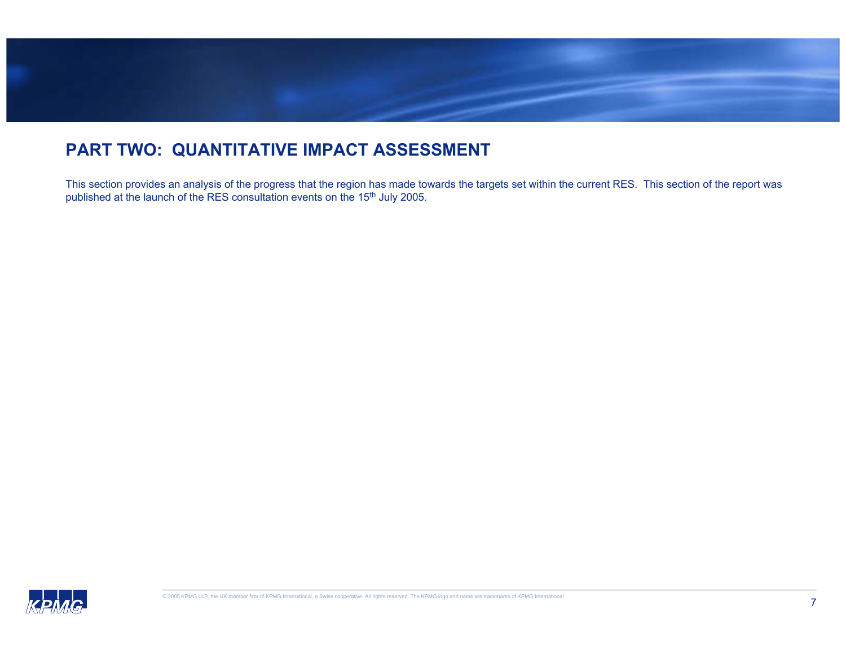

### **PART TWO: QUANTITATIVE IMPACT ASSESSMENT**

This section provides an analysis of the progress that the region has made towards the targets set within the current RES. This section of the report was published at the launch of the RES consultation events on the 15<sup>th</sup> July 2005.

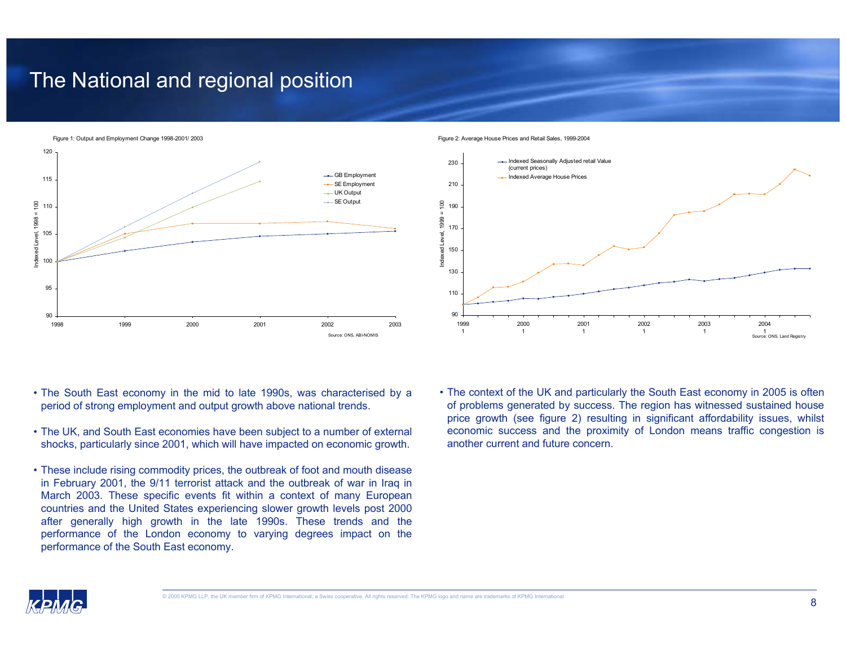### The National and regional position

Figure 1: Output and Employment Change 1998-2001/ 2003



Figure 2: Average House Prices and Retail Sales, 1999-2004



- The South East economy in the mid to late 1990s, was characterised by a period of strong employment and output growth above national trends.
- The UK, and South East economies have been subject to a number of external shocks, particularly since 2001, which will have impacted on economic growth.
- These include rising commodity prices, the outbreak of foot and mouth disease in February 2001, the 9/11 terrorist attack and the outbreak of war in Iraq in March 2003. These specific events fit within a context of many European countries and the United States experiencing slower growth levels post 2000 after generally high growth in the late 1990s. These trends and the performance of the London economy to varying degrees impact on the performance of the South East economy.
- The context of the UK and particularly the South East economy in 2005 is often of problems generated by success. The region has witnessed sustained house price growth (see figure 2) resulting in significant affordability issues, whilst economic success and the proximity of London means traffic congestion is another current and future concern.

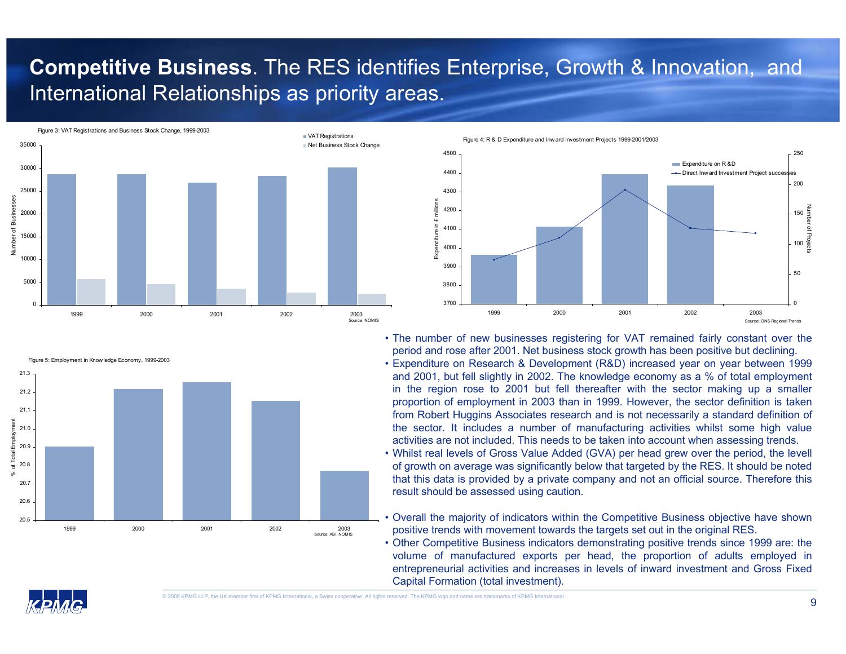## **Competitive Business**. The RES identifies Enterprise, Growth & Innovation, and International Relationships as priority areas.

Figure 3: VAT Registrations and Business Stock Change, 1999-2003





Figure 4: R & D Expenditure and Inward Investment Projects 1999-2001/2003



• The number of new businesses registering for VAT remained fairly constant over the period and rose after 2001. Net business stock growth has been positive but declining.

• Expenditure on Research & Development (R&D) increased year on year between 1999 and 2001, but fell slightly in 2002. The knowledge economy as a % of total employment in the region rose to 2001 but fell thereafter with the sector making up a smaller proportion of employment in 2003 than in 1999. However, the sector definition is taken from Robert Huggins Associates research and is not necessarily a standard definition of the sector. It includes a number of manufacturing activities whilst some high value activities are not included. This needs to be taken into account when assessing trends.

• Whilst real levels of Gross Value Added (GVA) per head grew over the period, the levell of growth on average was significantly below that targeted by the RES. It should be noted that this data is provided by a private company and not an official source. Therefore this result should be assessed using caution.

• Overall the majority of indicators within the Competitive Business objective have shown positive trends with movement towards the targets set out in the original RES.

• Other Competitive Business indicators demonstrating positive trends since 1999 are: the volume of manufactured exports per head, the proportion of adults employed in entrepreneurial activities and increases in levels of inward investment and Gross Fixed Capital Formation (total investment).

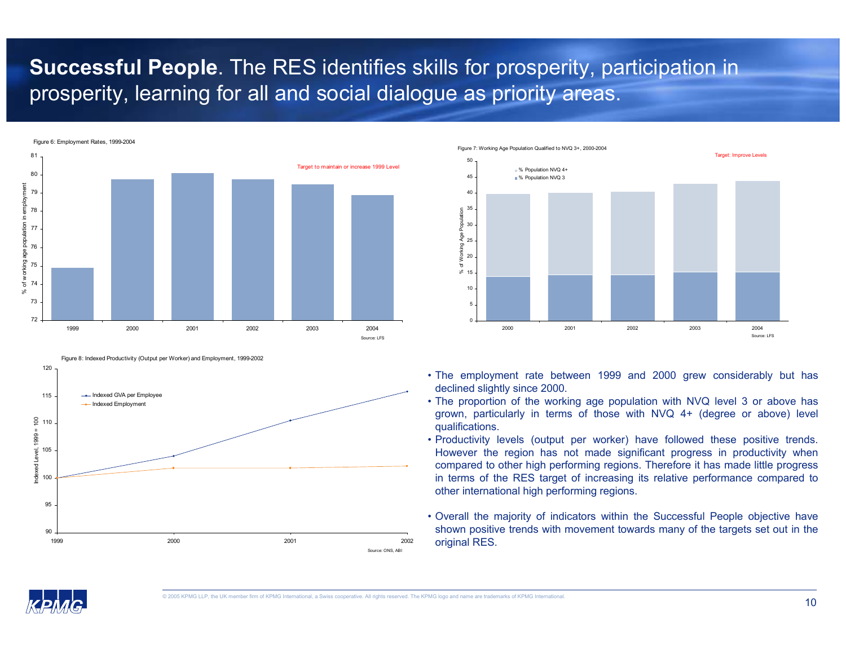## **Successful People**. The RES identifies skills for prosperity, participation in prosperity, learning for all and social dialogue as priority areas.



Figure 8: Indexed Productivity (Output per Worker) and Employment, 1999-2002



Figure 7: Working Age Population Qualified to NVQ 3+, 2000-2004



- The employment rate between 1999 and 2000 grew considerably but has declined slightly since 2000.
- The proportion of the working age population with NVQ level 3 or above has grown, particularly in terms of those with NVQ 4+ (degree or above) level qualifications.
- Productivity levels (output per worker) have followed these positive trends. However the region has not made significant progress in productivity when compared to other high performing regions. Therefore it has made little progress in terms of the RES target of increasing its relative performance compared to other international high performing regions.
- Overall the majority of indicators within the Successful People objective have shown positive trends with movement towards many of the targets set out in the original RES.

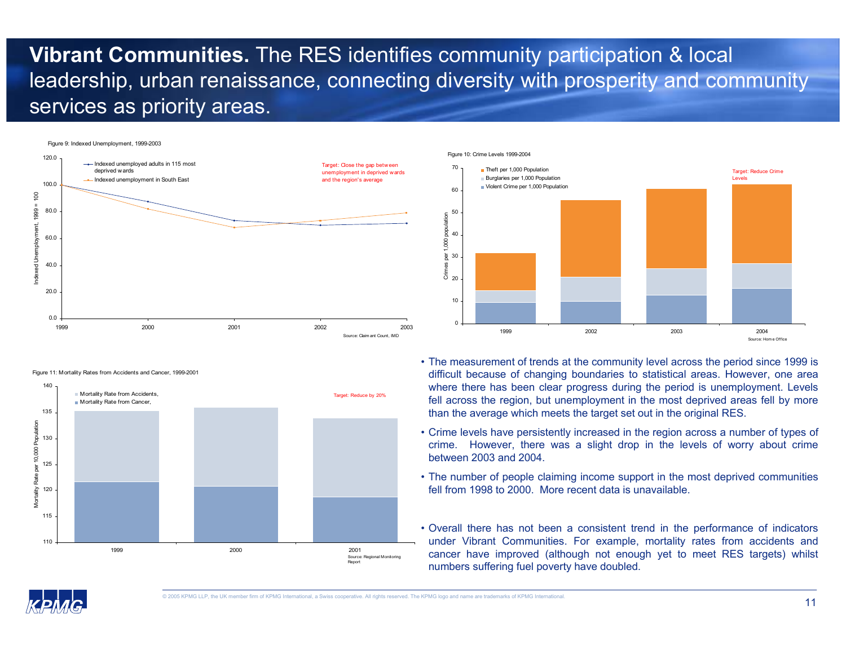## **Vibrant Communities.** The RES identifies community participation & local leadership, urban renaissance, connecting diversity with prosperity and community services as priority areas.











- The measurement of trends at the community level across the period since 1999 is difficult because of changing boundaries to statistical areas. However, one area where there has been clear progress during the period is unemployment. Levels fell across the region, but unemployment in the most deprived areas fell by more than the average which meets the target set out in the original RES.
- Crime levels have persistently increased in the region across a number of types of crime. However, there was a slight drop in the levels of worry about crime between 2003 and 2004.
- The number of people claiming income support in the most deprived communities fell from 1998 to 2000. More recent data is unavailable.
- Overall there has not been a consistent trend in the performance of indicators under Vibrant Communities. For example, mortality rates from accidents and cancer have improved (although not enough yet to meet RES targets) whilst numbers suffering fuel poverty have doubled.

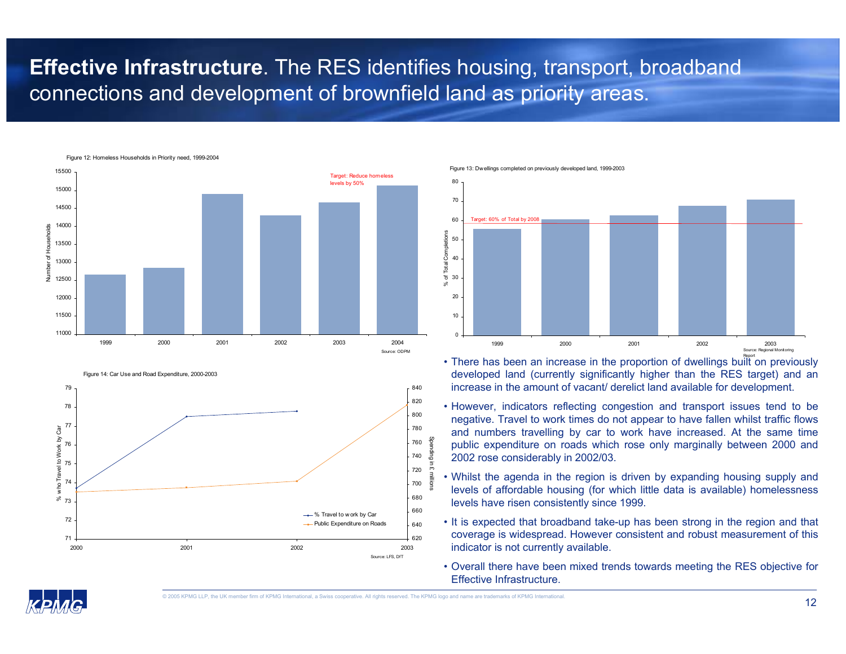### **Effective Infrastructure**. The RES identifies housing, transport, broadband connections and development of brownfield land as priority areas.



Figure 14: Car Use and Road Expenditure, 2000-2003



Figure 13: Dwellings completed on previously developed land, 1999-2003



- $\cdot$  There has been an increase in the proportion of dwellings bullt on previously developed land (currently significantly higher than the RES target) and an increase in the amount of vacant/ derelict land available for development.
- However, indicators reflecting congestion and transport issues tend to be negative. Travel to work times do not appear to have fallen whilst traffic flows and numbers travelling by car to work have increased. At the same time public expenditure on roads which rose only marginally between 2000 and 2002 rose considerably in 2002/03.
- Whilst the agenda in the region is driven by expanding housing supply and levels of affordable housing (for which little data is available) homelessness levels have risen consistently since 1999.
- It is expected that broadband take-up has been strong in the region and that coverage is widespread. However consistent and robust measurement of this indicator is not currently available.
- Overall there have been mixed trends towards meeting the RES objective for Effective Infrastructure.

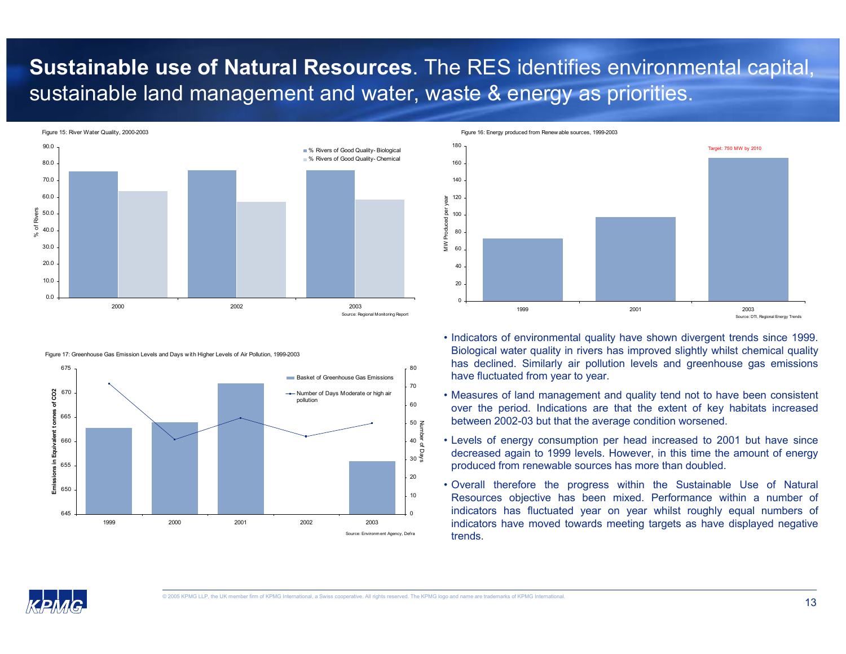### **Sustainable use of Natural Resources**. The RES identifies environmental capital, sustainable land management and water, waste & energy as priorities.



Figure 17: Greenhouse Gas Emission Levels and Days with Higher Levels of Air Pollution, 1999-2003



Figure 16: Energy produced from Renewable sources, 1999-2003



- Indicators of environmental quality have shown divergent trends since 1999. Biological water quality in rivers has improved slightly whilst chemical quality has declined. Similarly air pollution levels and greenhouse gas emissions have fluctuated from year to year.
- Measures of land management and quality tend not to have been consistent over the period. Indications are that the extent of key habitats increased between 2002-03 but that the average condition worsened.
- Levels of energy consumption per head increased to 2001 but have since decreased again to 1999 levels. However, in this time the amount of energy produced from renewable sources has more than doubled.
- Overall therefore the progress within the Sustainable Use of Natural Resources objective has been mixed. Performance within a number of indicators has fluctuated year on year whilst roughly equal numbers of indicators have moved towards meeting targets as have displayed negative trends.

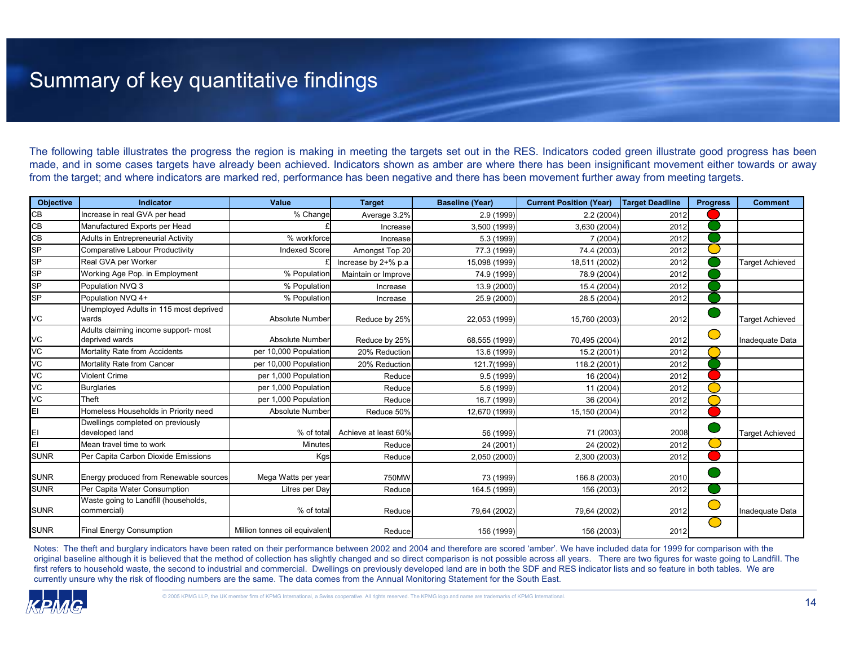## Summary of key quantitative findings

The following table illustrates the progress the region is making in meeting the targets set out in the RES. Indicators coded green illustrate good progress has been made, and in some cases targets have already been achieved. Indicators shown as amber are where there has been insignificant movement either towards or away from the target; and where indicators are marked red, performance has been negative and there has been movement further away from meeting targets.

| <b>Objective</b> | Indicator                                              | Value                         | <b>Target</b>        | <b>Baseline (Year)</b> | <b>Current Position (Year)</b> | <b>Target Deadline</b> | <b>Progress</b> | <b>Comment</b>         |
|------------------|--------------------------------------------------------|-------------------------------|----------------------|------------------------|--------------------------------|------------------------|-----------------|------------------------|
| CВ               | Increase in real GVA per head                          | % Change                      | Average 3.2%         | 2.9 (1999)             | 2.2(2004)                      | 2012                   |                 |                        |
| CB               | Manufactured Exports per Head                          |                               | Increase             | 3,500 (1999)           | 3,630 (2004)                   | 2012                   |                 |                        |
| CВ               | Adults in Entrepreneurial Activity                     | % workforce                   | Increase             | 5.3 (1999)             | 7 (2004)                       | 2012                   |                 |                        |
| SP               | Comparative Labour Productivity                        | <b>Indexed Score</b>          | Amongst Top 20       | 77.3 (1999)            | 74.4 (2003)                    | 2012                   |                 |                        |
| SР               | Real GVA per Worker                                    |                               | Increase by 2+% p.a  | 15,098 (1999)          | 18,511 (2002)                  | 2012                   |                 | <b>Target Achieved</b> |
| SP               | Working Age Pop. in Employment                         | % Population                  | Maintain or Improve  | 74.9 (1999)            | 78.9 (2004)                    | 2012                   |                 |                        |
| <b>SP</b>        | Population NVQ 3                                       | % Population                  | Increase             | 13.9 (2000)            | 15.4 (2004)                    | 2012                   |                 |                        |
| SP               | Population NVQ 4+                                      | % Population                  | Increase             | 25.9 (2000)            | 28.5 (2004)                    | 2012                   |                 |                        |
| VC               | Unemployed Adults in 115 most deprived<br>wards        | Absolute Number               | Reduce by 25%        | 22,053 (1999)          | 15,760 (2003)                  | 2012                   |                 | <b>Target Achieved</b> |
| VC               | Adults claiming income support- most<br>deprived wards | Absolute Number               | Reduce by 25%        | 68,555 (1999)          | 70,495 (2004)                  | 2012                   | $\bigcirc$      | Inadequate Data        |
| VC               | Mortality Rate from Accidents                          | per 10,000 Population         | 20% Reduction        | 13.6 (1999)            | 15.2 (2001)                    | 2012                   |                 |                        |
| VC               | Mortality Rate from Cancer                             | per 10,000 Population         | 20% Reduction        | 121.7(1999)            | 118.2 (2001)                   | 2012                   |                 |                        |
| VC               | <b>Violent Crime</b>                                   | per 1,000 Population          | Reduce               | 9.5 (1999)             | 16 (2004)                      | 2012                   |                 |                        |
| VC               | <b>Burglaries</b>                                      | per 1,000 Population          | Reduce               | 5.6 (1999)             | 11 (2004)                      | 2012                   |                 |                        |
| VC               | Theft                                                  | per 1,000 Population          | Reduce               | 16.7 (1999)            | 36 (2004)                      | 2012                   |                 |                        |
| ΕI               | Homeless Households in Priority need                   | Absolute Number               | Reduce 50%           | 12,670 (1999)          | 15,150 (2004)                  | 2012                   |                 |                        |
| ΕI               | Dwellings completed on previously<br>developed land    | % of total                    | Achieve at least 60% | 56 (1999)              | 71 (2003)                      | 2008                   |                 | <b>Target Achieved</b> |
| EI               | Mean travel time to work                               | Minutes                       | Reduce               | 24 (2001)              | 24 (2002)                      | 2012                   |                 |                        |
| <b>SUNR</b>      | Per Capita Carbon Dioxide Emissions                    | Kgs                           | Reduce               | 2,050 (2000)           | 2,300 (2003)                   | 2012                   |                 |                        |
| <b>SUNR</b>      | Energy produced from Renewable sources                 | Mega Watts per year           | 750MW                | 73 (1999)              | 166.8 (2003)                   | 2010                   |                 |                        |
| <b>SUNR</b>      | Per Capita Water Consumption                           | Litres per Day                | Reduce               | 164.5 (1999)           | 156 (2003)                     | 2012                   |                 |                        |
| <b>SUNR</b>      | Waste going to Landfill (households,<br>commercial)    | % of total                    | Reduce               | 79,64 (2002)           | 79,64 (2002)                   | 2012                   | $\bigcirc$      | Inadequate Data        |
| <b>SUNR</b>      | Final Energy Consumption                               | Million tonnes oil equivalent | Reduce               | 156 (1999)             | 156 (2003)                     | 2012                   | M.              |                        |

Notes: The theft and burglary indicators have been rated on their performance between 2002 and 2004 and therefore are scored 'amber'. We have included data for 1999 for comparison with the original baseline although it is believed that the method of collection has slightly changed and so direct comparison is not possible across all years. There are two figures for waste going to Landfill. The first refers to household waste, the second to industrial and commercial. Dwellings on previously developed land are in both the SDF and RES indicator lists and so feature in both tables. We are currently unsure why the risk of flooding numbers are the same. The data comes from the Annual Monitoring Statement for the South East.

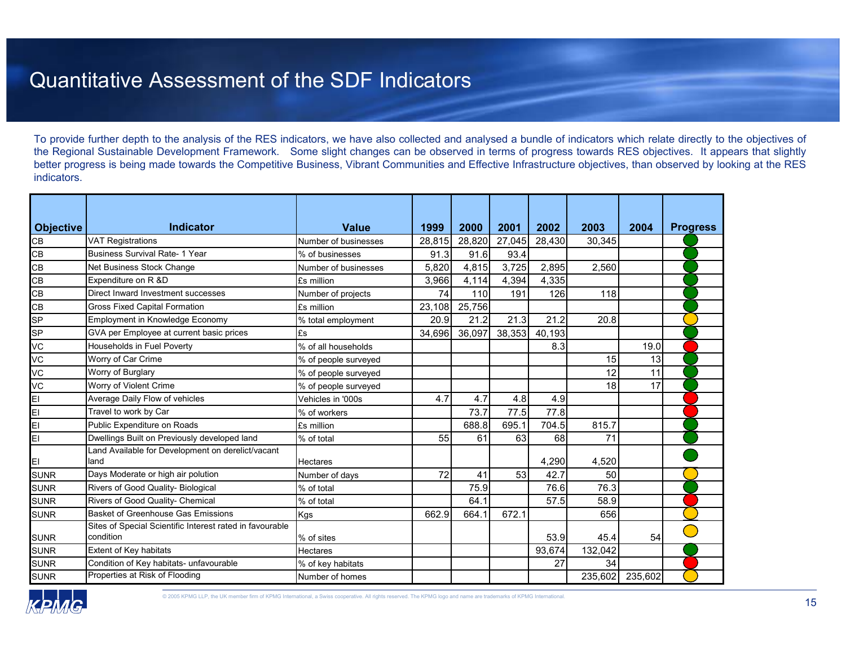### Quantitative Assessment of the SDF Indicators

To provide further depth to the analysis of the RES indicators, we have also collected and analysed a bundle of indicators which relate directly to the objectives of the Regional Sustainable Development Framework. Some slight changes can be observed in terms of progress towards RES objectives. It appears that slightly better progress is being made towards the Competitive Business, Vibrant Communities and Effective Infrastructure objectives, than observed by looking at the RES indicators.

| <b>Objective</b> | <b>Indicator</b>                                                      | <b>Value</b>         | 1999   | 2000   | 2001   | 2002   | 2003    | 2004    | <b>Progress</b> |
|------------------|-----------------------------------------------------------------------|----------------------|--------|--------|--------|--------|---------|---------|-----------------|
| CB               | <b>VAT Registrations</b>                                              | Number of businesses | 28,815 | 28,820 | 27,045 | 28,430 | 30,345  |         |                 |
| CB               | <b>Business Survival Rate- 1 Year</b>                                 | % of businesses      | 91.3   | 91.6   | 93.4   |        |         |         |                 |
| CB               | Net Business Stock Change                                             | Number of businesses | 5,820  | 4,815  | 3,725  | 2,895  | 2,560   |         |                 |
| CB               | Expenditure on R &D                                                   | £s million           | 3,966  | 4,114  | 4,394  | 4,335  |         |         |                 |
| CB               | Direct Inward Investment successes                                    | Number of projects   | 74     | 110    | 191    | 126    | 118     |         |                 |
| CB               | <b>Gross Fixed Capital Formation</b>                                  | £s million           | 23,108 | 25,756 |        |        |         |         |                 |
| SP               | Employment in Knowledge Economy                                       | % total employment   | 20.9   | 21.2   | 21.3   | 21.2   | 20.8    |         |                 |
| SP               | GVA per Employee at current basic prices                              | £s                   | 34.696 | 36,097 | 38,353 | 40.193 |         |         |                 |
| VC               | Households in Fuel Poverty                                            | % of all households  |        |        |        | 8.3    |         | 19.0    |                 |
| VC               | Worry of Car Crime                                                    | % of people surveyed |        |        |        |        | 15      | 13      |                 |
| VC               | Worry of Burglary                                                     | % of people surveyed |        |        |        |        | 12      | 11      |                 |
| VC               | Worry of Violent Crime                                                | % of people surveyed |        |        |        |        | 18      | 17      |                 |
| EI               | Average Daily Flow of vehicles                                        | Vehicles in '000s    | 4.7    | 4.7    | 4.8    | 4.9    |         |         |                 |
| EI               | Travel to work by Car                                                 | % of workers         |        | 73.7   | 77.5   | 77.8   |         |         |                 |
| EI               | Public Expenditure on Roads                                           | £s million           |        | 688.8  | 695.1  | 704.5  | 815.7   |         |                 |
| EI               | Dwellings Built on Previously developed land                          | % of total           | 55     | 61     | 63     | 68     | 71      |         |                 |
| EI               | Land Available for Development on derelict/vacant<br>land             | <b>Hectares</b>      |        |        |        | 4,290  | 4,520   |         |                 |
| <b>SUNR</b>      | Days Moderate or high air polution                                    | Number of days       | 72     | 41     | 53     | 42.7   | 50      |         |                 |
| <b>SUNR</b>      | Rivers of Good Quality- Biological                                    | % of total           |        | 75.9   |        | 76.6   | 76.3    |         |                 |
| <b>SUNR</b>      | Rivers of Good Quality- Chemical                                      | % of total           |        | 64.1   |        | 57.5   | 58.9    |         |                 |
| <b>SUNR</b>      | <b>Basket of Greenhouse Gas Emissions</b>                             | Kgs                  | 662.9  | 664.1  | 672.1  |        | 656     |         |                 |
| <b>SUNR</b>      | Sites of Special Scientific Interest rated in favourable<br>condition | % of sites           |        |        |        | 53.9   | 45.4    | 54      |                 |
| <b>SUNR</b>      | Extent of Key habitats                                                | <b>Hectares</b>      |        |        |        | 93,674 | 132,042 |         |                 |
| <b>SUNR</b>      | Condition of Key habitats- unfavourable                               | % of key habitats    |        |        |        | 27     | 34      |         |                 |
| <b>SUNR</b>      | Properties at Risk of Flooding                                        | Number of homes      |        |        |        |        | 235,602 | 235,602 |                 |

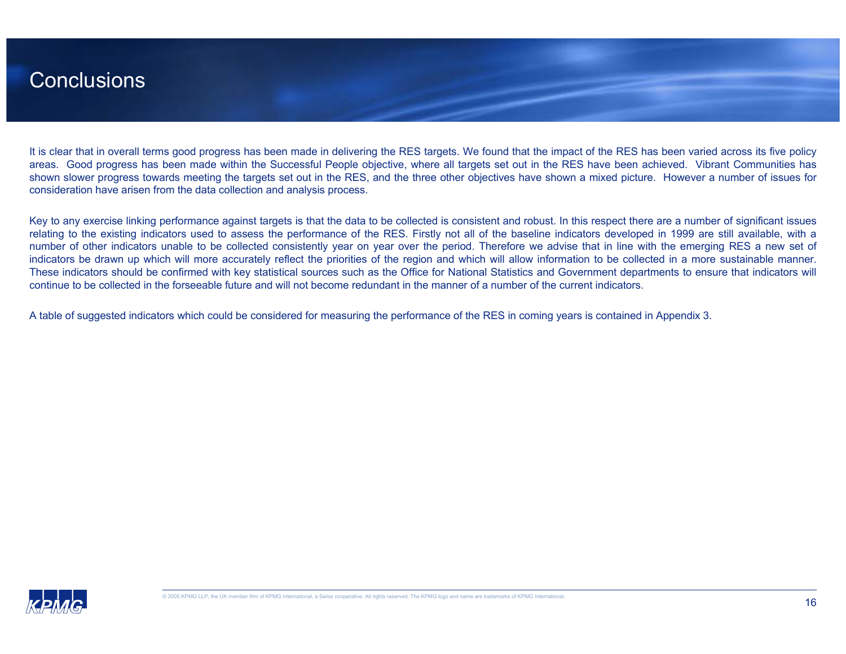### Conclusions

It is clear that in overall terms good progress has been made in delivering the RES targets. We found that the impact of the RES has been varied across its five policy areas. Good progress has been made within the Successful People objective, where all targets set out in the RES have been achieved. Vibrant Communities has shown slower progress towards meeting the targets set out in the RES, and the three other objectives have shown a mixed picture. However a number of issues for consideration have arisen from the data collection and analysis process.

Key to any exercise linking performance against targets is that the data to be collected is consistent and robust. In this respect there are a number of significant issues relating to the existing indicators used to assess the performance of the RES. Firstly not all of the baseline indicators developed in 1999 are still available, with a number of other indicators unable to be collected consistently year on year over the period. Therefore we advise that in line with the emerging RES a new set of indicators be drawn up which will more accurately reflect the priorities of the region and which will allow information to be collected in a more sustainable manner. These indicators should be confirmed with key statistical sources such as the Office for National Statistics and Government departments to ensure that indicators will continue to be collected in the forseeable future and will not become redundant in the manner of a number of the current indicators.

A table of suggested indicators which could be considered for measuring the performance of the RES in coming years is contained in Appendix 3.

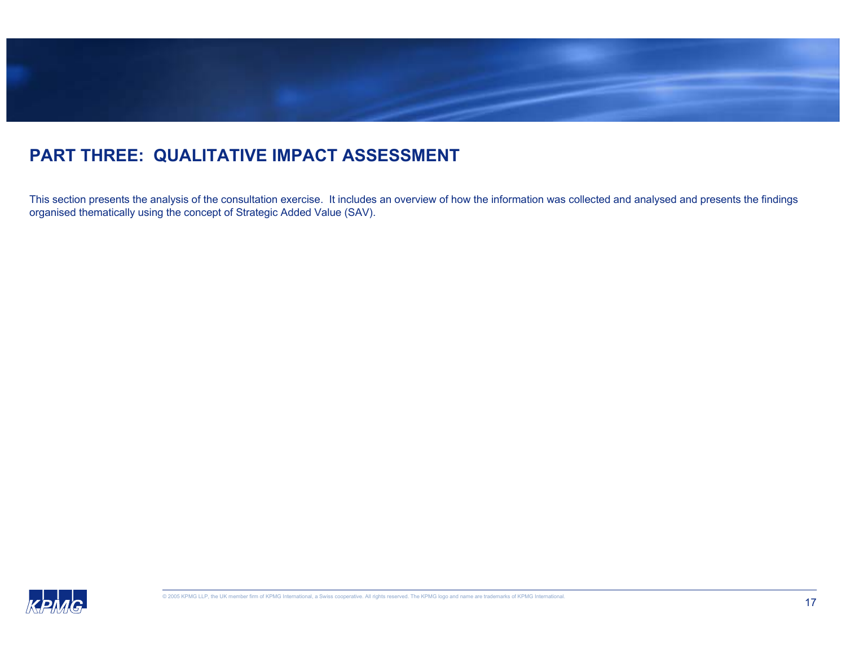

### **PART THREE: QUALITATIVE IMPACT ASSESSMENT**

This section presents the analysis of the consultation exercise. It includes an overview of how the information was collected and analysed and presents the findings organised thematically using the concept of Strategic Added Value (SAV).

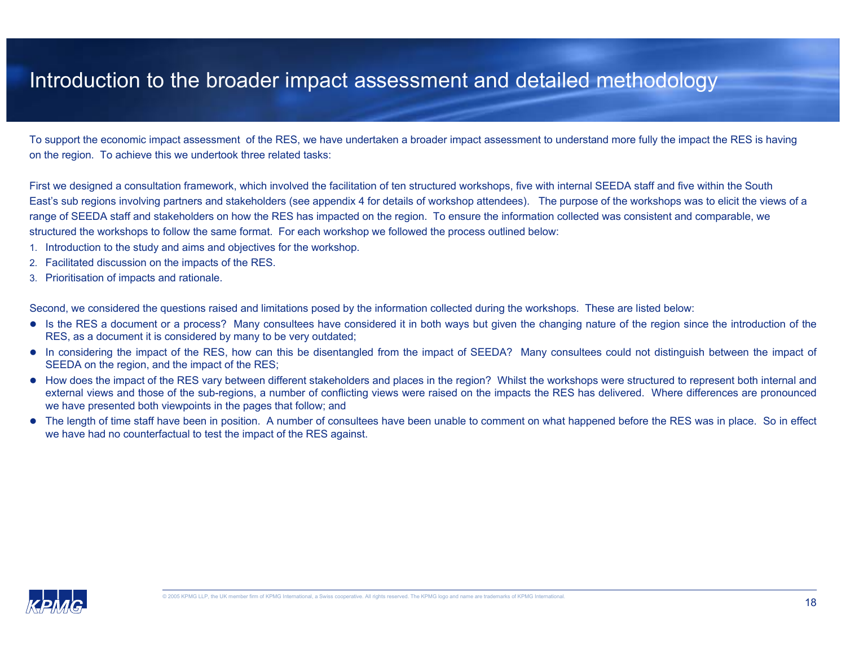### Introduction to the broader impact assessment and detailed methodology

To support the economic impact assessment of the RES, we have undertaken a broader impact assessment to understand more fully the impact the RES is having on the region. To achieve this we undertook three related tasks:

First we designed a consultation framework, which involved the facilitation of ten structured workshops, five with internal SEEDA staff and five within the South East's sub regions involving partners and stakeholders (see appendix 4 for details of workshop attendees). The purpose of the workshops was to elicit the views of a range of SEEDA staff and stakeholders on how the RES has impacted on the region. To ensure the information collected was consistent and comparable, we structured the workshops to follow the same format. For each workshop we followed the process outlined below:

- 1. Introduction to the study and aims and objectives for the workshop.
- 2. Facilitated discussion on the impacts of the RES.
- 3. Prioritisation of impacts and rationale.

Second, we considered the questions raised and limitations posed by the information collected during the workshops. These are listed below:

- Is the RES a document or a process? Many consultees have considered it in both ways but given the changing nature of the region since the introduction of the RES, as a document it is considered by many to be very outdated;
- In considering the impact of the RES, how can this be disentangled from the impact of SEEDA? Many consultees could not distinguish between the impact of SEEDA on the region, and the impact of the RES;
- How does the impact of the RES vary between different stakeholders and places in the region? Whilst the workshops were structured to represent both internal and external views and those of the sub-regions, a number of conflicting views were raised on the impacts the RES has delivered. Where differences are pronounced we have presented both viewpoints in the pages that follow; and
- The length of time staff have been in position. A number of consultees have been unable to comment on what happened before the RES was in place. So in effect we have had no counterfactual to test the impact of the RES against.

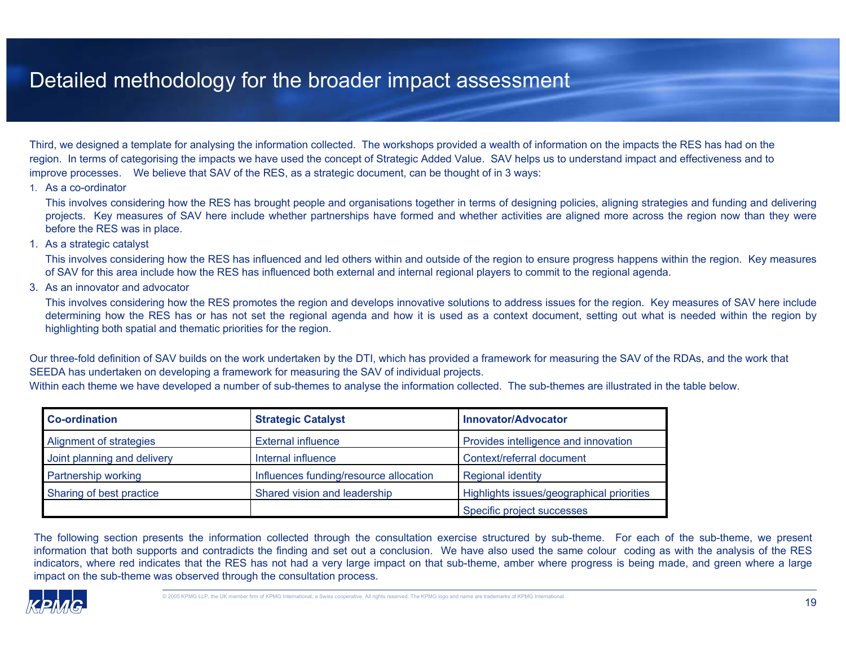### Detailed methodology for the broader impact assessment

Third, we designed a template for analysing the information collected. The workshops provided a wealth of information on the impacts the RES has had on the region. In terms of categorising the impacts we have used the concept of Strategic Added Value. SAV helps us to understand impact and effectiveness and to improve processes. We believe that SAV of the RES, as a strategic document, can be thought of in 3 ways:

#### 1. As a co-ordinator

This involves considering how the RES has brought people and organisations together in terms of designing policies, aligning strategies and funding and delivering projects. Key measures of SAV here include whether partnerships have formed and whether activities are aligned more across the region now than they were before the RES was in place.

#### 1. As a strategic catalyst

This involves considering how the RES has influenced and led others within and outside of the region to ensure progress happens within the region. Key measures of SAV for this area include how the RES has influenced both external and internal regional players to commit to the regional agenda.

3. As an innovator and advocator

This involves considering how the RES promotes the region and develops innovative solutions to address issues for the region. Key measures of SAV here include determining how the RES has or has not set the regional agenda and how it is used as a context document, setting out what is needed within the region by highlighting both spatial and thematic priorities for the region.

Our three-fold definition of SAV builds on the work undertaken by the DTI, which has provided a framework for measuring the SAV of the RDAs, and the work that SEEDA has undertaken on developing a framework for measuring the SAV of individual projects.

Within each theme we have developed a number of sub-themes to analyse the information collected. The sub-themes are illustrated in the table below.

| <b>Co-ordination</b>        | <b>Strategic Catalyst</b>              | <b>Innovator/Advocator</b>                |
|-----------------------------|----------------------------------------|-------------------------------------------|
| Alignment of strategies     | <b>External influence</b>              | Provides intelligence and innovation      |
| Joint planning and delivery | Internal influence                     | Context/referral document                 |
| Partnership working         | Influences funding/resource allocation | <b>Regional identity</b>                  |
| Sharing of best practice    | Shared vision and leadership           | Highlights issues/geographical priorities |
|                             |                                        | Specific project successes                |

The following section presents the information collected through the consultation exercise structured by sub-theme. For each of the sub-theme, we present information that both supports and contradicts the finding and set out a conclusion. We have also used the same colour coding as with the analysis of the RES indicators, where red indicates that the RES has not had a very large impact on that sub-theme, amber where progress is being made, and green where a large impact on the sub-theme was observed through the consultation process.

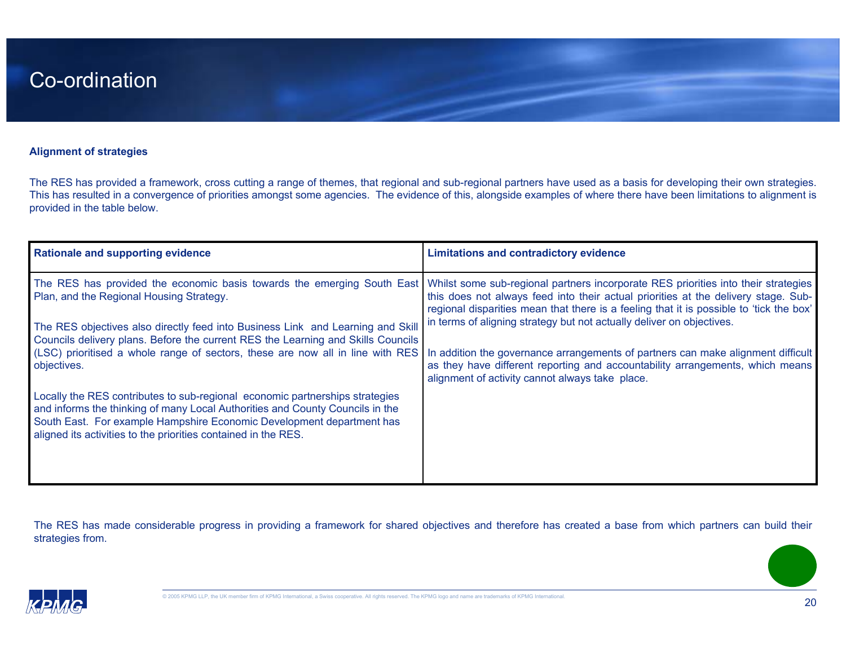#### **Alignment of strategies**

The RES has provided a framework, cross cutting a range of themes, that regional and sub-regional partners have used as a basis for developing their own strategies. This has resulted in a convergence of priorities amongst some agencies. The evidence of this, alongside examples of where there have been limitations to alignment is provided in the table below.

| <b>Rationale and supporting evidence</b>                                                                                                                                                                                                                                                                                                                                                                                                                                                                                                                                                                                                                                                                                                                                                   | <b>Limitations and contradictory evidence</b>                                                                                                                                                                                                                                                                                                                                                                                                                                  |
|--------------------------------------------------------------------------------------------------------------------------------------------------------------------------------------------------------------------------------------------------------------------------------------------------------------------------------------------------------------------------------------------------------------------------------------------------------------------------------------------------------------------------------------------------------------------------------------------------------------------------------------------------------------------------------------------------------------------------------------------------------------------------------------------|--------------------------------------------------------------------------------------------------------------------------------------------------------------------------------------------------------------------------------------------------------------------------------------------------------------------------------------------------------------------------------------------------------------------------------------------------------------------------------|
| The RES has provided the economic basis towards the emerging South East Whilst some sub-regional partners incorporate RES priorities into their strategies<br>Plan, and the Regional Housing Strategy.<br>The RES objectives also directly feed into Business Link and Learning and Skill<br>Councils delivery plans. Before the current RES the Learning and Skills Councils<br>(LSC) prioritised a whole range of sectors, these are now all in line with RES<br>objectives.<br>Locally the RES contributes to sub-regional economic partnerships strategies<br>and informs the thinking of many Local Authorities and County Councils in the<br>South East. For example Hampshire Economic Development department has<br>aligned its activities to the priorities contained in the RES. | this does not always feed into their actual priorities at the delivery stage. Sub-<br>regional disparities mean that there is a feeling that it is possible to 'tick the box'<br>in terms of aligning strategy but not actually deliver on objectives.<br>In addition the governance arrangements of partners can make alignment difficult<br>as they have different reporting and accountability arrangements, which means<br>alignment of activity cannot always take place. |
|                                                                                                                                                                                                                                                                                                                                                                                                                                                                                                                                                                                                                                                                                                                                                                                            |                                                                                                                                                                                                                                                                                                                                                                                                                                                                                |

The RES has made considerable progress in providing a framework for shared objectives and therefore has created a base from which partners can build their strategies from.

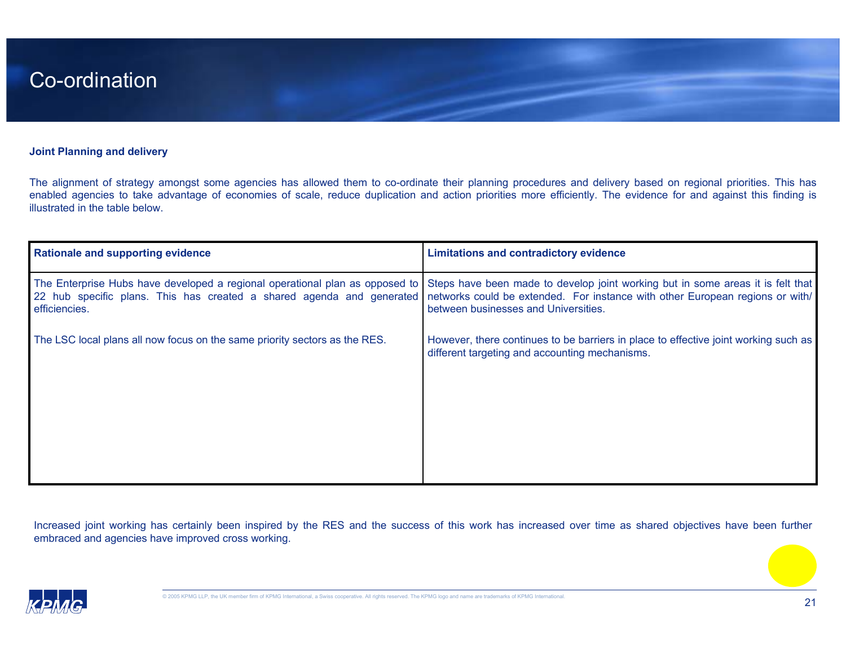#### **Joint Planning and delivery**

The alignment of strategy amongst some agencies has allowed them to co-ordinate their planning procedures and delivery based on regional priorities. This has enabled agencies to take advantage of economies of scale, reduce duplication and action priorities more efficiently. The evidence for and against this finding is illustrated in the table below.

| <b>Rationale and supporting evidence</b>                                                                                                                               | <b>Limitations and contradictory evidence</b>                                                                                                                                                            |
|------------------------------------------------------------------------------------------------------------------------------------------------------------------------|----------------------------------------------------------------------------------------------------------------------------------------------------------------------------------------------------------|
| The Enterprise Hubs have developed a regional operational plan as opposed to<br>22 hub specific plans. This has created a shared agenda and generated<br>efficiencies. | Steps have been made to develop joint working but in some areas it is felt that<br>networks could be extended. For instance with other European regions or with/<br>between businesses and Universities. |
| The LSC local plans all now focus on the same priority sectors as the RES.                                                                                             | However, there continues to be barriers in place to effective joint working such as<br>different targeting and accounting mechanisms.                                                                    |

Increased joint working has certainly been inspired by the RES and the success of this work has increased over time as shared objectives have been further embraced and agencies have improved cross working.

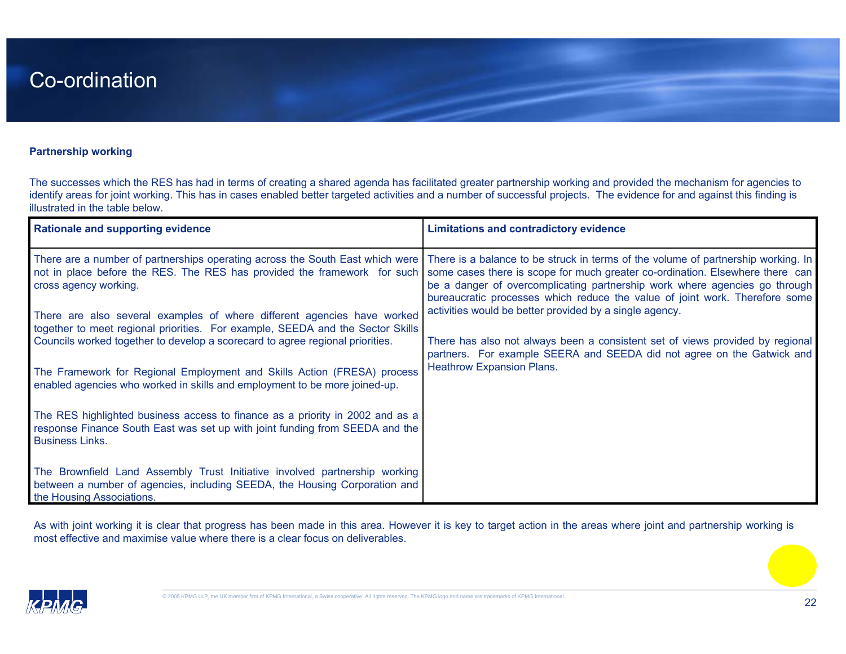#### **Partnership working**

The successes which the RES has had in terms of creating a shared agenda has facilitated greater partnership working and provided the mechanism for agencies to identify areas for joint working. This has in cases enabled better targeted activities and a number of successful projects. The evidence for and against this finding is illustrated in the table below.

| <b>Rationale and supporting evidence</b>                                                                                                                                                | <b>Limitations and contradictory evidence</b>                                                                                                                                                                                                                                                                                   |
|-----------------------------------------------------------------------------------------------------------------------------------------------------------------------------------------|---------------------------------------------------------------------------------------------------------------------------------------------------------------------------------------------------------------------------------------------------------------------------------------------------------------------------------|
| There are a number of partnerships operating across the South East which were<br>not in place before the RES. The RES has provided the framework for such<br>cross agency working.      | There is a balance to be struck in terms of the volume of partnership working. In<br>some cases there is scope for much greater co-ordination. Elsewhere there can<br>be a danger of overcomplicating partnership work where agencies go through<br>bureaucratic processes which reduce the value of joint work. Therefore some |
| There are also several examples of where different agencies have worked<br>together to meet regional priorities. For example, SEEDA and the Sector Skills                               | activities would be better provided by a single agency.                                                                                                                                                                                                                                                                         |
| Councils worked together to develop a scorecard to agree regional priorities.                                                                                                           | There has also not always been a consistent set of views provided by regional<br>partners. For example SEERA and SEEDA did not agree on the Gatwick and                                                                                                                                                                         |
| The Framework for Regional Employment and Skills Action (FRESA) process<br>enabled agencies who worked in skills and employment to be more joined-up.                                   | Heathrow Expansion Plans.                                                                                                                                                                                                                                                                                                       |
| The RES highlighted business access to finance as a priority in 2002 and as a<br>response Finance South East was set up with joint funding from SEEDA and the<br><b>Business Links.</b> |                                                                                                                                                                                                                                                                                                                                 |
| The Brownfield Land Assembly Trust Initiative involved partnership working<br>between a number of agencies, including SEEDA, the Housing Corporation and<br>the Housing Associations.   |                                                                                                                                                                                                                                                                                                                                 |

As with joint working it is clear that progress has been made in this area. However it is key to target action in the areas where joint and partnership working is most effective and maximise value where there is a clear focus on deliverables.

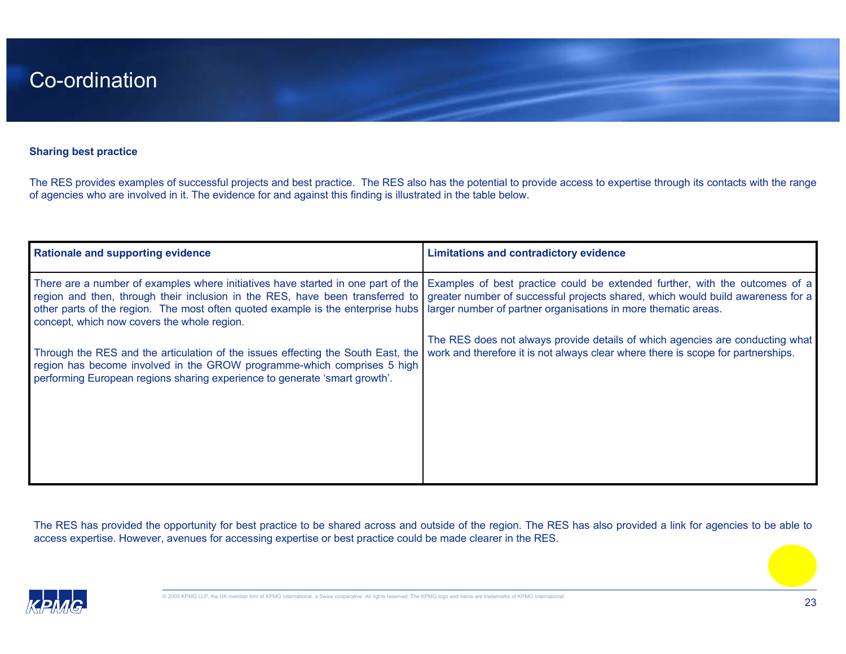#### **Sharing best practice**

The RES provides examples of successful projects and best practice. The RES also has the potential to provide access to expertise through its contacts with the range of agencies who are involved in it. The evidence for and against this finding is illustrated in the table below.

| <b>Rationale and supporting evidence</b>                                                                                                                                                                                                  | <b>Limitations and contradictory evidence</b>                                                                                                                                                                                                                                                                                 |
|-------------------------------------------------------------------------------------------------------------------------------------------------------------------------------------------------------------------------------------------|-------------------------------------------------------------------------------------------------------------------------------------------------------------------------------------------------------------------------------------------------------------------------------------------------------------------------------|
| other parts of the region. The most often quoted example is the enterprise hubs   larger number of partner organisations in more thematic areas.<br>concept, which now covers the whole region.                                           | There are a number of examples where initiatives have started in one part of the Examples of best practice could be extended further, with the outcomes of a<br>region and then, through their inclusion in the RES, have been transferred to greater number of successful projects shared, which would build awareness for a |
| Through the RES and the articulation of the issues effecting the South East, the<br>region has become involved in the GROW programme-which comprises 5 high<br>performing European regions sharing experience to generate 'smart growth'. | The RES does not always provide details of which agencies are conducting what<br>work and therefore it is not always clear where there is scope for partnerships.                                                                                                                                                             |

The RES has provided the opportunity for best practice to be shared across and outside of the region. The RES has also provided a link for agencies to be able to access expertise. However, avenues for accessing expertise or best practice could be made clearer in the RES.

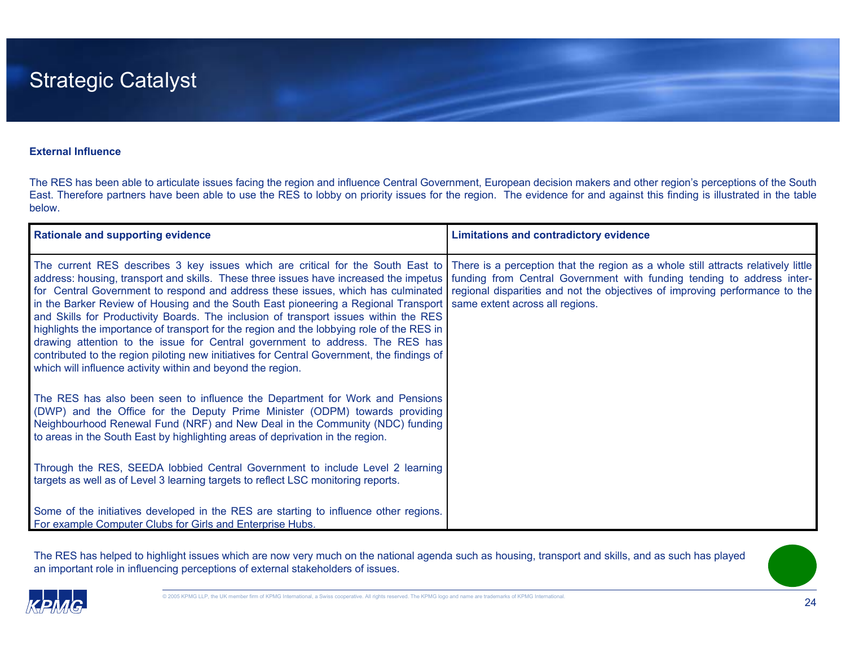#### **External Influence**

The RES has been able to articulate issues facing the region and influence Central Government, European decision makers and other region's perceptions of the South East. Therefore partners have been able to use the RES to lobby on priority issues for the region. The evidence for and against this finding is illustrated in the table below.

| <b>Rationale and supporting evidence</b>                                                                                                                                                                                                                                                                                                                                                                                                                                                                                                                                                                                                                                                                                                                                                                                                                                | <b>Limitations and contradictory evidence</b>                                                                                                                                            |
|-------------------------------------------------------------------------------------------------------------------------------------------------------------------------------------------------------------------------------------------------------------------------------------------------------------------------------------------------------------------------------------------------------------------------------------------------------------------------------------------------------------------------------------------------------------------------------------------------------------------------------------------------------------------------------------------------------------------------------------------------------------------------------------------------------------------------------------------------------------------------|------------------------------------------------------------------------------------------------------------------------------------------------------------------------------------------|
| The current RES describes 3 key issues which are critical for the South East to There is a perception that the region as a whole still attracts relatively little<br>address: housing, transport and skills. These three issues have increased the impetus<br>for Central Government to respond and address these issues, which has culminated<br>in the Barker Review of Housing and the South East pioneering a Regional Transport<br>and Skills for Productivity Boards. The inclusion of transport issues within the RES<br>highlights the importance of transport for the region and the lobbying role of the RES in<br>drawing attention to the issue for Central government to address. The RES has<br>contributed to the region piloting new initiatives for Central Government, the findings of<br>which will influence activity within and beyond the region. | funding from Central Government with funding tending to address inter-<br>regional disparities and not the objectives of improving performance to the<br>same extent across all regions. |
| The RES has also been seen to influence the Department for Work and Pensions<br>(DWP) and the Office for the Deputy Prime Minister (ODPM) towards providing<br>Neighbourhood Renewal Fund (NRF) and New Deal in the Community (NDC) funding<br>to areas in the South East by highlighting areas of deprivation in the region.                                                                                                                                                                                                                                                                                                                                                                                                                                                                                                                                           |                                                                                                                                                                                          |
| Through the RES, SEEDA lobbied Central Government to include Level 2 learning<br>targets as well as of Level 3 learning targets to reflect LSC monitoring reports.                                                                                                                                                                                                                                                                                                                                                                                                                                                                                                                                                                                                                                                                                                      |                                                                                                                                                                                          |
| Some of the initiatives developed in the RES are starting to influence other regions.<br>For example Computer Clubs for Girls and Enterprise Hubs.                                                                                                                                                                                                                                                                                                                                                                                                                                                                                                                                                                                                                                                                                                                      |                                                                                                                                                                                          |

The RES has helped to highlight issues which are now very much on the national agenda such as housing, transport and skills, and as such has played an important role in influencing perceptions of external stakeholders of issues.

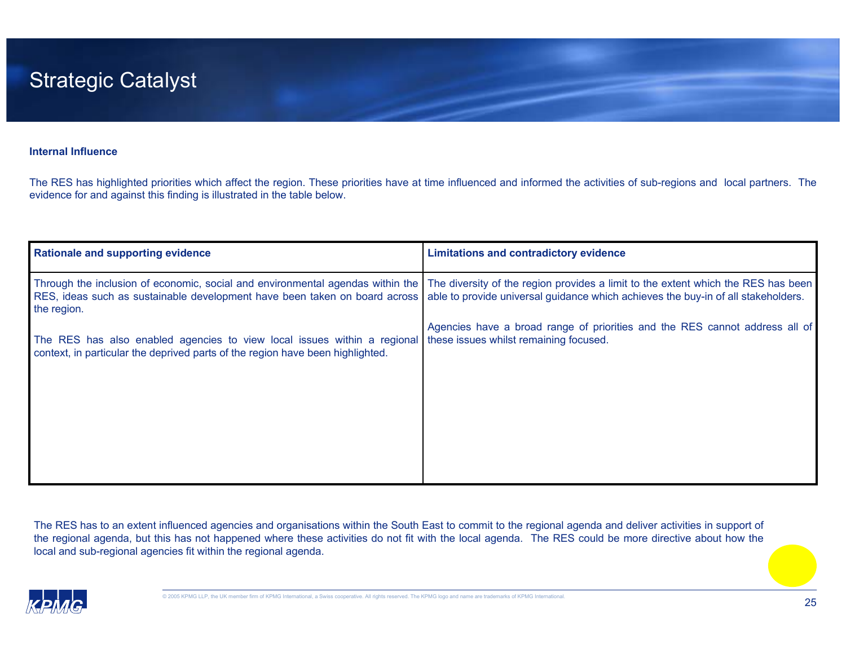### Strategic Catalyst

#### **Internal Influence**

The RES has highlighted priorities which affect the region. These priorities have at time influenced and informed the activities of sub-regions and local partners. The evidence for and against this finding is illustrated in the table below.

| <b>Rationale and supporting evidence</b>                                                                                                                                    | <b>Limitations and contradictory evidence</b>                                                                                                                          |
|-----------------------------------------------------------------------------------------------------------------------------------------------------------------------------|------------------------------------------------------------------------------------------------------------------------------------------------------------------------|
| Through the inclusion of economic, social and environmental agendas within the<br>RES, ideas such as sustainable development have been taken on board across<br>the region. | The diversity of the region provides a limit to the extent which the RES has been<br>able to provide universal guidance which achieves the buy-in of all stakeholders. |
| The RES has also enabled agencies to view local issues within a regional<br>context, in particular the deprived parts of the region have been highlighted.                  | Agencies have a broad range of priorities and the RES cannot address all of<br>these issues whilst remaining focused.                                                  |

The RES has to an extent influenced agencies and organisations within the South East to commit to the regional agenda and deliver activities in support of the regional agenda, but this has not happened where these activities do not fit with the local agenda. The RES could be more directive about how the local and sub-regional agencies fit within the regional agenda.

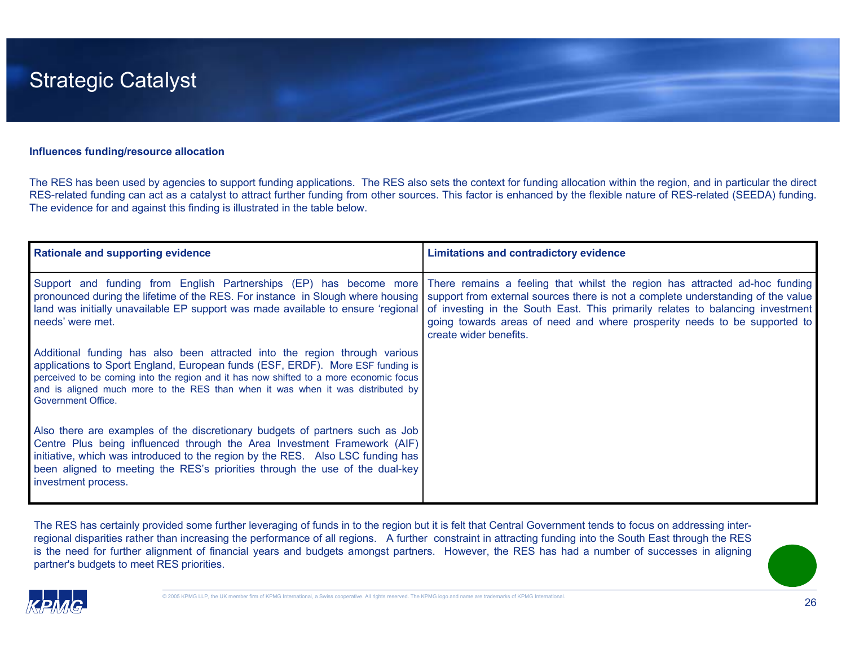

#### **Influences funding/resource allocation**

The RES has been used by agencies to support funding applications. The RES also sets the context for funding allocation within the region, and in particular the direct RES-related funding can act as a catalyst to attract further funding from other sources. This factor is enhanced by the flexible nature of RES-related (SEEDA) funding. The evidence for and against this finding is illustrated in the table below.

| <b>Rationale and supporting evidence</b>                                                                                                                                                                                                                                                                                                                        | <b>Limitations and contradictory evidence</b>                                                                                                                                                                                                                                                                                                                                                                               |
|-----------------------------------------------------------------------------------------------------------------------------------------------------------------------------------------------------------------------------------------------------------------------------------------------------------------------------------------------------------------|-----------------------------------------------------------------------------------------------------------------------------------------------------------------------------------------------------------------------------------------------------------------------------------------------------------------------------------------------------------------------------------------------------------------------------|
| pronounced during the lifetime of the RES. For instance in Slough where housing<br>land was initially unavailable EP support was made available to ensure 'regional<br>needs' were met.                                                                                                                                                                         | Support and funding from English Partnerships (EP) has become more There remains a feeling that whilst the region has attracted ad-hoc funding<br>support from external sources there is not a complete understanding of the value<br>of investing in the South East. This primarily relates to balancing investment<br>going towards areas of need and where prosperity needs to be supported to<br>create wider benefits. |
| Additional funding has also been attracted into the region through various<br>applications to Sport England, European funds (ESF, ERDF). More ESF funding is<br>perceived to be coming into the region and it has now shifted to a more economic focus<br>and is aligned much more to the RES than when it was when it was distributed by<br>Government Office. |                                                                                                                                                                                                                                                                                                                                                                                                                             |
| Also there are examples of the discretionary budgets of partners such as Job<br>Centre Plus being influenced through the Area Investment Framework (AIF)<br>initiative, which was introduced to the region by the RES. Also LSC funding has<br>been aligned to meeting the RES's priorities through the use of the dual-key<br>investment process.              |                                                                                                                                                                                                                                                                                                                                                                                                                             |

The RES has certainly provided some further leveraging of funds in to the region but it is felt that Central Government tends to focus on addressing interregional disparities rather than increasing the performance of all regions. A further constraint in attracting funding into the South East through the RES is the need for further alignment of financial years and budgets amongst partners. However, the RES has had a number of successes in aligning partner's budgets to meet RES priorities.

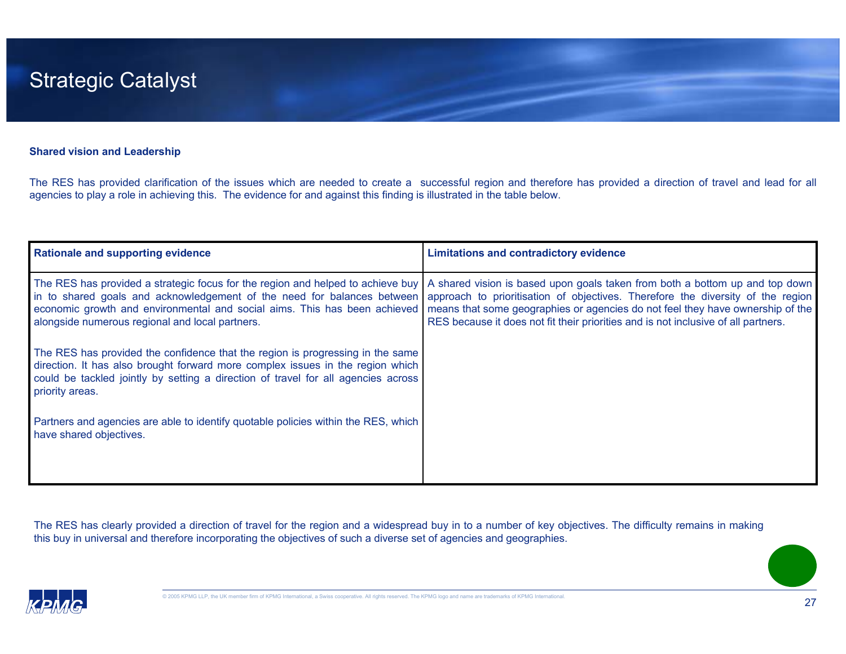#### **Shared vision and Leadership**

The RES has provided clarification of the issues which are needed to create a successful region and therefore has provided a direction of travel and lead for all agencies to play a role in achieving this. The evidence for and against this finding is illustrated in the table below.

| <b>Rationale and supporting evidence</b>                                                                                                                                                                                                                                                   | <b>Limitations and contradictory evidence</b>                                                                                                                                                                                                                                                                                           |
|--------------------------------------------------------------------------------------------------------------------------------------------------------------------------------------------------------------------------------------------------------------------------------------------|-----------------------------------------------------------------------------------------------------------------------------------------------------------------------------------------------------------------------------------------------------------------------------------------------------------------------------------------|
| The RES has provided a strategic focus for the region and helped to achieve buy<br>in to shared goals and acknowledgement of the need for balances between<br>economic growth and environmental and social aims. This has been achieved<br>alongside numerous regional and local partners. | A shared vision is based upon goals taken from both a bottom up and top down<br>approach to prioritisation of objectives. Therefore the diversity of the region<br>means that some geographies or agencies do not feel they have ownership of the<br>RES because it does not fit their priorities and is not inclusive of all partners. |
| The RES has provided the confidence that the region is progressing in the same<br>direction. It has also brought forward more complex issues in the region which<br>could be tackled jointly by setting a direction of travel for all agencies across<br>priority areas.                   |                                                                                                                                                                                                                                                                                                                                         |
| Partners and agencies are able to identify quotable policies within the RES, which<br>have shared objectives.                                                                                                                                                                              |                                                                                                                                                                                                                                                                                                                                         |

The RES has clearly provided a direction of travel for the region and a widespread buy in to a number of key objectives. The difficulty remains in making this buy in universal and therefore incorporating the objectives of such a diverse set of agencies and geographies.

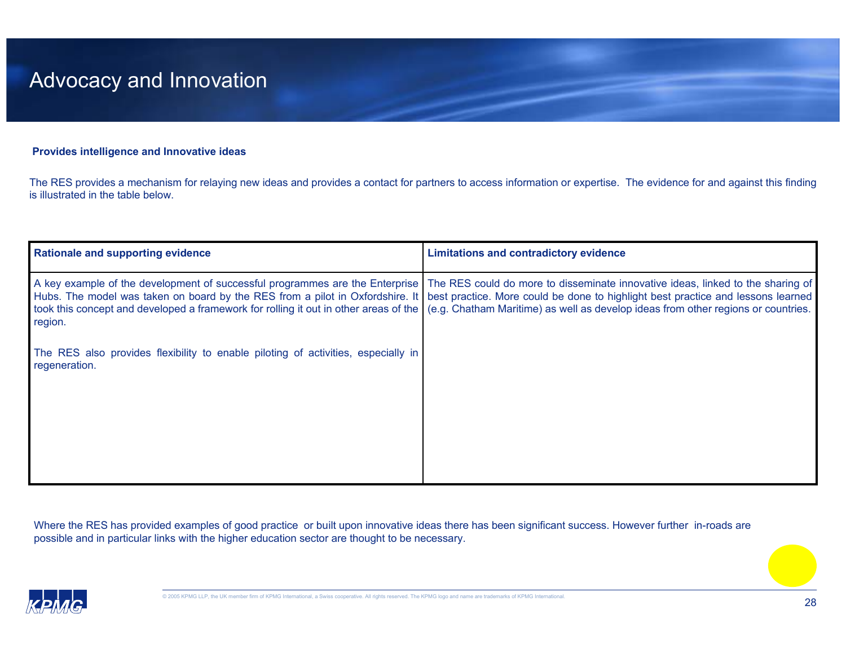#### **Provides intelligence and Innovative ideas**

The RES provides a mechanism for relaying new ideas and provides a contact for partners to access information or expertise. The evidence for and against this finding is illustrated in the table below.

| <b>Rationale and supporting evidence</b>                                                                                                                                          | <b>Limitations and contradictory evidence</b>                                                                                                                                                                                                                                                                                    |
|-----------------------------------------------------------------------------------------------------------------------------------------------------------------------------------|----------------------------------------------------------------------------------------------------------------------------------------------------------------------------------------------------------------------------------------------------------------------------------------------------------------------------------|
| took this concept and developed a framework for rolling it out in other areas of the (e.g. Chatham Maritime) as well as develop ideas from other regions or countries.<br>region. | A key example of the development of successful programmes are the Enterprise   The RES could do more to disseminate innovative ideas, linked to the sharing of<br>Hubs. The model was taken on board by the RES from a pilot in Oxfordshire. It best practice. More could be done to highlight best practice and lessons learned |
| The RES also provides flexibility to enable piloting of activities, especially in<br>regeneration.                                                                                |                                                                                                                                                                                                                                                                                                                                  |
|                                                                                                                                                                                   |                                                                                                                                                                                                                                                                                                                                  |

Where the RES has provided examples of good practice or built upon innovative ideas there has been significant success. However further in-roads are possible and in particular links with the higher education sector are thought to be necessary.

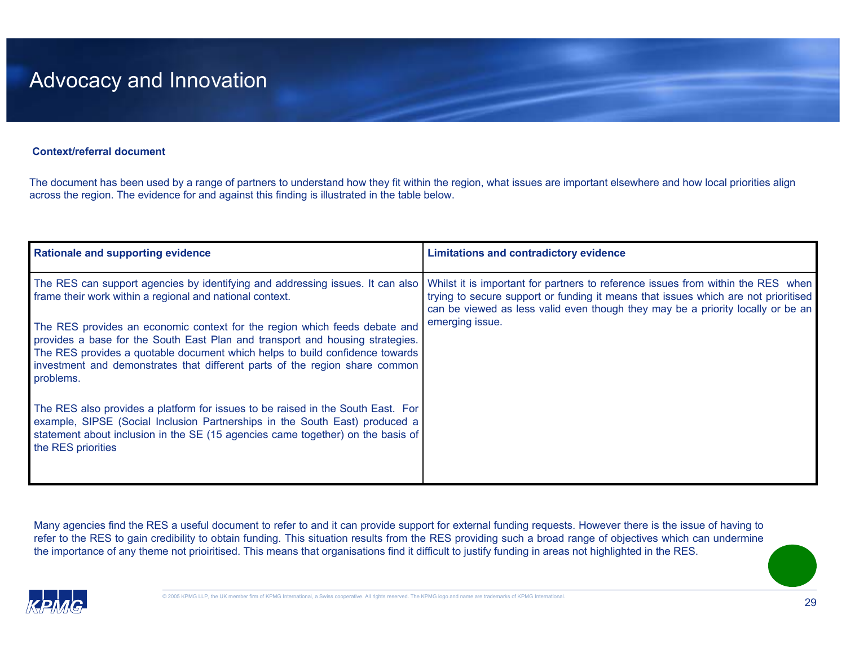#### **Context/referral document**

The document has been used by a range of partners to understand how they fit within the region, what issues are important elsewhere and how local priorities align across the region. The evidence for and against this finding is illustrated in the table below.

| <b>Rationale and supporting evidence</b>                                                                                                                                                                                                                                                                                                | <b>Limitations and contradictory evidence</b>                                                                                                                                                                                                             |
|-----------------------------------------------------------------------------------------------------------------------------------------------------------------------------------------------------------------------------------------------------------------------------------------------------------------------------------------|-----------------------------------------------------------------------------------------------------------------------------------------------------------------------------------------------------------------------------------------------------------|
| The RES can support agencies by identifying and addressing issues. It can also<br>frame their work within a regional and national context.                                                                                                                                                                                              | Whilst it is important for partners to reference issues from within the RES when<br>trying to secure support or funding it means that issues which are not prioritised<br>can be viewed as less valid even though they may be a priority locally or be an |
| The RES provides an economic context for the region which feeds debate and<br>provides a base for the South East Plan and transport and housing strategies.<br>The RES provides a quotable document which helps to build confidence towards<br>investment and demonstrates that different parts of the region share common<br>problems. | emerging issue.                                                                                                                                                                                                                                           |
| The RES also provides a platform for issues to be raised in the South East. For<br>example, SIPSE (Social Inclusion Partnerships in the South East) produced a<br>statement about inclusion in the SE (15 agencies came together) on the basis of<br>the RES priorities                                                                 |                                                                                                                                                                                                                                                           |

Many agencies find the RES a useful document to refer to and it can provide support for external funding requests. However there is the issue of having to refer to the RES to gain credibility to obtain funding. This situation results from the RES providing such a broad range of objectives which can undermine the importance of any theme not prioiritised. This means that organisations find it difficult to justify funding in areas not highlighted in the RES.

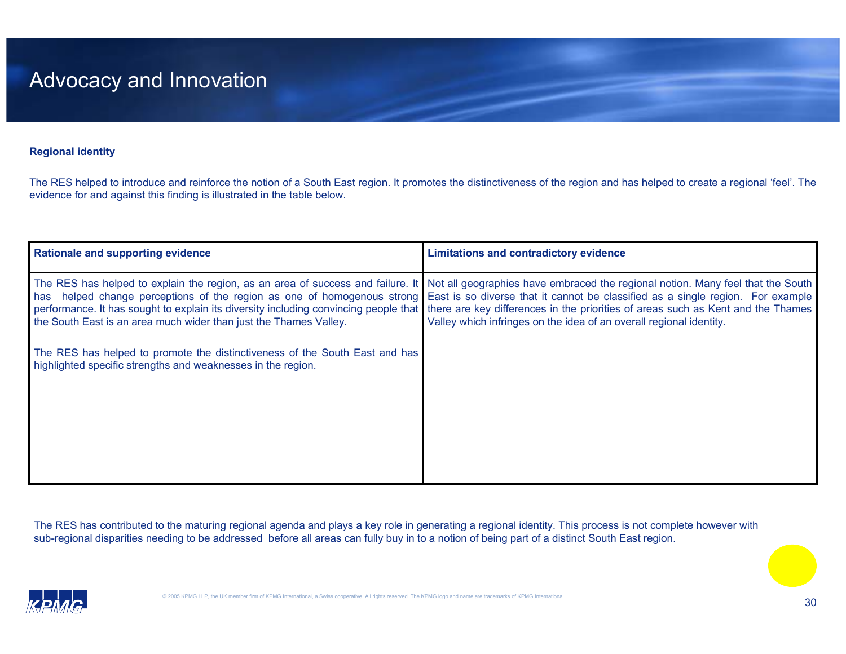#### **Regional identity**

The RES helped to introduce and reinforce the notion of a South East region. It promotes the distinctiveness of the region and has helped to create a regional 'feel'. The evidence for and against this finding is illustrated in the table below.

| <b>Rationale and supporting evidence</b>                                                                                                    | <b>Limitations and contradictory evidence</b>                                                                                                                                                                                                                                                                                                                                                                                                                                                                                                                                  |
|---------------------------------------------------------------------------------------------------------------------------------------------|--------------------------------------------------------------------------------------------------------------------------------------------------------------------------------------------------------------------------------------------------------------------------------------------------------------------------------------------------------------------------------------------------------------------------------------------------------------------------------------------------------------------------------------------------------------------------------|
| the South East is an area much wider than just the Thames Valley.                                                                           | The RES has helped to explain the region, as an area of success and failure. It   Not all geographies have embraced the regional notion. Many feel that the South<br>has helped change perceptions of the region as one of homogenous strong East is so diverse that it cannot be classified as a single region. For example<br>performance. It has sought to explain its diversity including convincing people that   there are key differences in the priorities of areas such as Kent and the Thames<br>Valley which infringes on the idea of an overall regional identity. |
| The RES has helped to promote the distinctiveness of the South East and has<br>highlighted specific strengths and weaknesses in the region. |                                                                                                                                                                                                                                                                                                                                                                                                                                                                                                                                                                                |

The RES has contributed to the maturing regional agenda and plays a key role in generating a regional identity. This process is not complete however with sub-regional disparities needing to be addressed before all areas can fully buy in to a notion of being part of a distinct South East region.

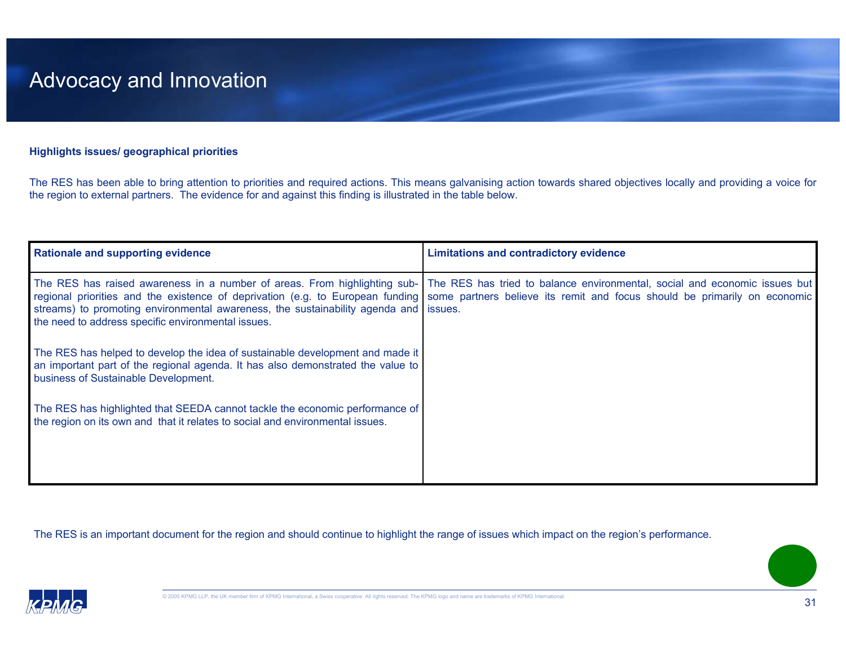#### **Highlights issues/ geographical priorities**

The RES has been able to bring attention to priorities and required actions. This means galvanising action towards shared objectives locally and providing a voice for the region to external partners. The evidence for and against this finding is illustrated in the table below.

| <b>Rationale and supporting evidence</b>                                                                                                                                                                 | <b>Limitations and contradictory evidence</b>                                                                                                                                                                                                                                                                    |
|----------------------------------------------------------------------------------------------------------------------------------------------------------------------------------------------------------|------------------------------------------------------------------------------------------------------------------------------------------------------------------------------------------------------------------------------------------------------------------------------------------------------------------|
| streams) to promoting environmental awareness, the sustainability agenda and issues.<br>the need to address specific environmental issues.                                                               | The RES has raised awareness in a number of areas. From highlighting sub- The RES has tried to balance environmental, social and economic issues but<br>regional priorities and the existence of deprivation (e.g. to European funding some partners believe its remit and focus should be primarily on economic |
| The RES has helped to develop the idea of sustainable development and made it<br>an important part of the regional agenda. It has also demonstrated the value to<br>business of Sustainable Development. |                                                                                                                                                                                                                                                                                                                  |
| The RES has highlighted that SEEDA cannot tackle the economic performance of<br>the region on its own and that it relates to social and environmental issues.                                            |                                                                                                                                                                                                                                                                                                                  |

The RES is an important document for the region and should continue to highlight the range of issues which impact on the region's performance.

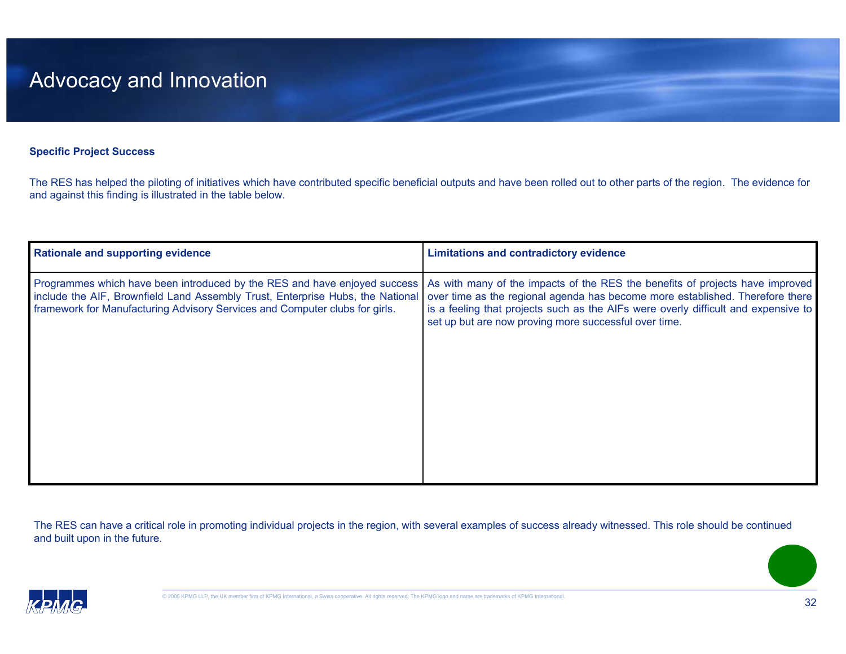#### **Specific Project Success**

The RES has helped the piloting of initiatives which have contributed specific beneficial outputs and have been rolled out to other parts of the region. The evidence for and against this finding is illustrated in the table below.

| <b>Rationale and supporting evidence</b>                                                                                                                                                                                                   | <b>Limitations and contradictory evidence</b>                                                                                                                                                                                                                                                                 |
|--------------------------------------------------------------------------------------------------------------------------------------------------------------------------------------------------------------------------------------------|---------------------------------------------------------------------------------------------------------------------------------------------------------------------------------------------------------------------------------------------------------------------------------------------------------------|
| Programmes which have been introduced by the RES and have enjoyed success<br>include the AIF, Brownfield Land Assembly Trust, Enterprise Hubs, the National<br>framework for Manufacturing Advisory Services and Computer clubs for girls. | As with many of the impacts of the RES the benefits of projects have improved<br>over time as the regional agenda has become more established. Therefore there<br>is a feeling that projects such as the AIFs were overly difficult and expensive to<br>set up but are now proving more successful over time. |
|                                                                                                                                                                                                                                            |                                                                                                                                                                                                                                                                                                               |

The RES can have a critical role in promoting individual projects in the region, with several examples of success already witnessed. This role should be continued and built upon in the future.

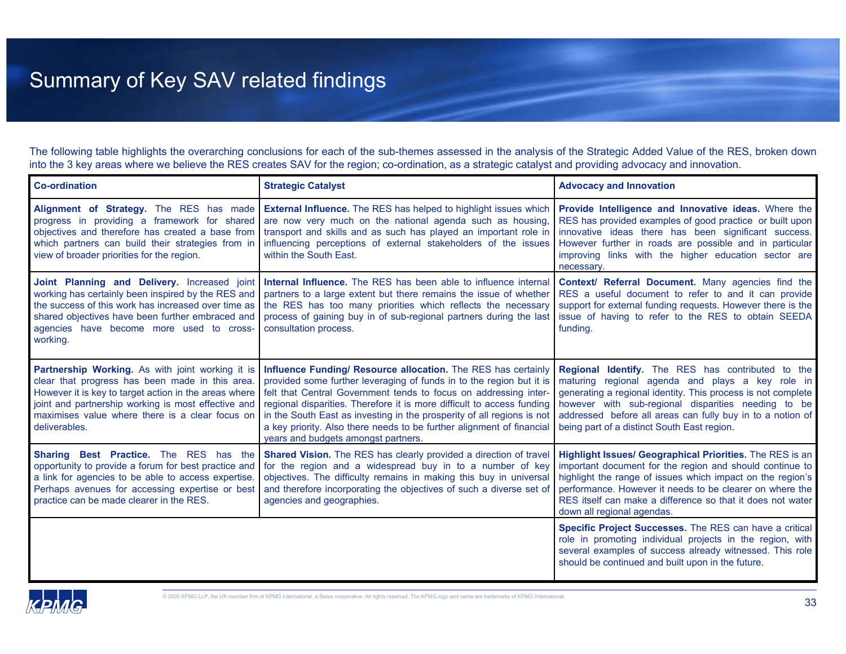## Summary of Key SAV related findings

The following table highlights the overarching conclusions for each of the sub-themes assessed in the analysis of the Strategic Added Value of the RES, broken down into the 3 key areas where we believe the RES creates SAV for the region; co-ordination, as a strategic catalyst and providing advocacy and innovation.

| <b>Co-ordination</b>                                                                                                                                                                                                                                                                   | <b>Strategic Catalyst</b>                                                                                                                                                                                                                                                                                                                                                                                                                                                     | <b>Advocacy and Innovation</b>                                                                                                                                                                                                                                                                                                                    |
|----------------------------------------------------------------------------------------------------------------------------------------------------------------------------------------------------------------------------------------------------------------------------------------|-------------------------------------------------------------------------------------------------------------------------------------------------------------------------------------------------------------------------------------------------------------------------------------------------------------------------------------------------------------------------------------------------------------------------------------------------------------------------------|---------------------------------------------------------------------------------------------------------------------------------------------------------------------------------------------------------------------------------------------------------------------------------------------------------------------------------------------------|
| Alignment of Strategy. The RES has made<br>progress in providing a framework for shared<br>objectives and therefore has created a base from<br>which partners can build their strategies from in<br>view of broader priorities for the region.                                         | <b>External Influence.</b> The RES has helped to highlight issues which<br>are now very much on the national agenda such as housing,<br>transport and skills and as such has played an important role in<br>influencing perceptions of external stakeholders of the issues<br>within the South East.                                                                                                                                                                          | Provide Intelligence and Innovative ideas. Where the<br>RES has provided examples of good practice or built upon<br>innovative ideas there has been significant success.<br>However further in roads are possible and in particular<br>improving links with the higher education sector are<br>necessary.                                         |
| Joint Planning and Delivery. Increased joint<br>working has certainly been inspired by the RES and<br>the success of this work has increased over time as<br>shared objectives have been further embraced and<br>agencies have become more used to cross-<br>working.                  | Internal Influence. The RES has been able to influence internal<br>partners to a large extent but there remains the issue of whether<br>the RES has too many priorities which reflects the necessary<br>process of gaining buy in of sub-regional partners during the last<br>consultation process.                                                                                                                                                                           | Context/ Referral Document. Many agencies find the<br>RES a useful document to refer to and it can provide<br>support for external funding requests. However there is the<br>issue of having to refer to the RES to obtain SEEDA<br>funding.                                                                                                      |
| Partnership Working. As with joint working it is<br>clear that progress has been made in this area<br>However it is key to target action in the areas where<br>joint and partnership working is most effective and<br>maximises value where there is a clear focus on<br>deliverables. | Influence Funding/ Resource allocation. The RES has certainly<br>provided some further leveraging of funds in to the region but it is<br>felt that Central Government tends to focus on addressing inter-<br>regional disparities. Therefore it is more difficult to access funding<br>in the South East as investing in the prosperity of all regions is not<br>a key priority. Also there needs to be further alignment of financial<br>years and budgets amongst partners. | Regional Identify. The RES has contributed to the<br>maturing regional agenda and plays a key role in<br>generating a regional identity. This process is not complete<br>however with sub-regional disparities needing to be<br>addressed before all areas can fully buy in to a notion of<br>being part of a distinct South East region.         |
| Sharing Best Practice. The RES has the<br>opportunity to provide a forum for best practice and<br>a link for agencies to be able to access expertise.<br>Perhaps avenues for accessing expertise or best<br>practice can be made clearer in the RES.                                   | <b>Shared Vision.</b> The RES has clearly provided a direction of travel<br>for the region and a widespread buy in to a number of key<br>objectives. The difficulty remains in making this buy in universal<br>and therefore incorporating the objectives of such a diverse set of<br>agencies and geographies.                                                                                                                                                               | <b>Highlight Issues/ Geographical Priorities.</b> The RES is an<br>important document for the region and should continue to<br>highlight the range of issues which impact on the region's<br>performance. However it needs to be clearer on where the<br>RES itself can make a difference so that it does not water<br>down all regional agendas. |
|                                                                                                                                                                                                                                                                                        |                                                                                                                                                                                                                                                                                                                                                                                                                                                                               | Specific Project Successes. The RES can have a critical<br>role in promoting individual projects in the region, with<br>several examples of success already witnessed. This role<br>should be continued and built upon in the future.                                                                                                             |

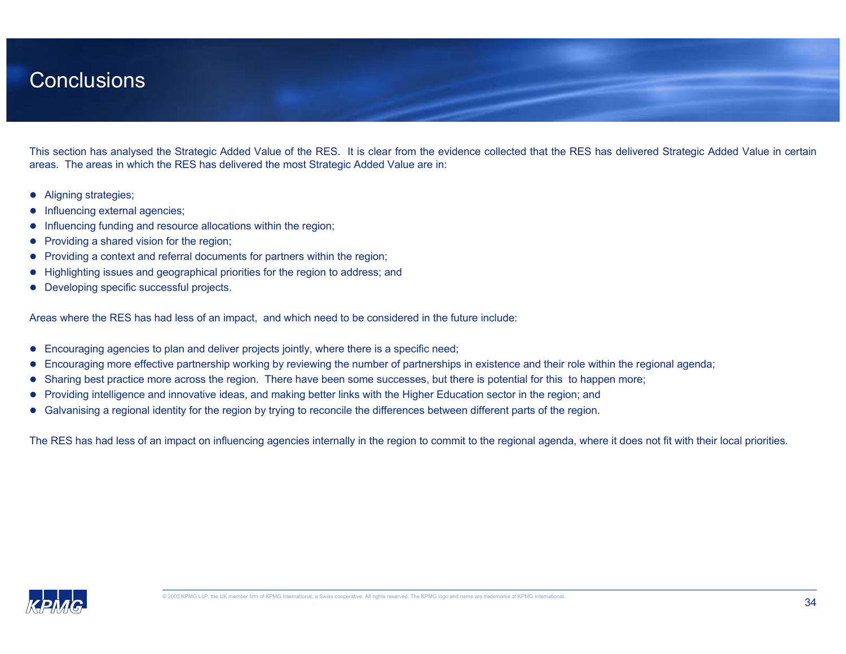### Conclusions

This section has analysed the Strategic Added Value of the RES. It is clear from the evidence collected that the RES has delivered Strategic Added Value in certain areas. The areas in which the RES has delivered the most Strategic Added Value are in:

- $\bullet$ Aligning strategies;
- o Influencing external agencies;
- O Influencing funding and resource allocations within the region;
- o Providing a shared vision for the region;
- o Providing a context and referral documents for partners within the region;
- O Highlighting issues and geographical priorities for the region to address; and
- $\bullet$ Developing specific successful projects.

Areas where the RES has had less of an impact, and which need to be considered in the future include:

- $\bullet$ Encouraging agencies to plan and deliver projects jointly, where there is a specific need;
- $\bullet$ Encouraging more effective partnership working by reviewing the number of partnerships in existence and their role within the regional agenda;
- o Sharing best practice more across the region. There have been some successes, but there is potential for this to happen more;
- $\bullet$ Providing intelligence and innovative ideas, and making better links with the Higher Education sector in the region; and
- $\bullet$ Galvanising a regional identity for the region by trying to reconcile the differences between different parts of the region.

The RES has had less of an impact on influencing agencies internally in the region to commit to the regional agenda, where it does not fit with their local priorities.

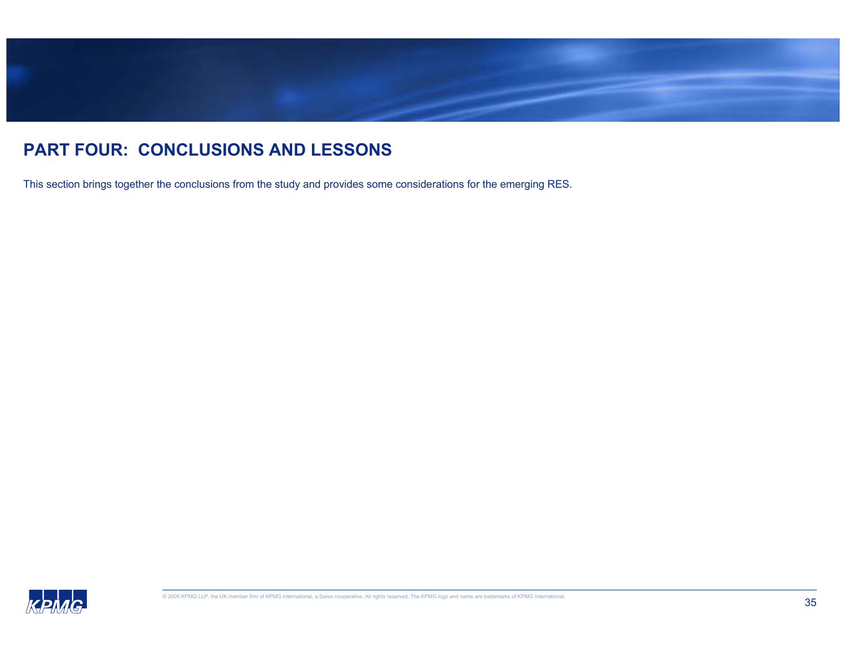

### **PART FOUR: CONCLUSIONS AND LESSONS**

This section brings together the conclusions from the study and provides some considerations for the emerging RES.

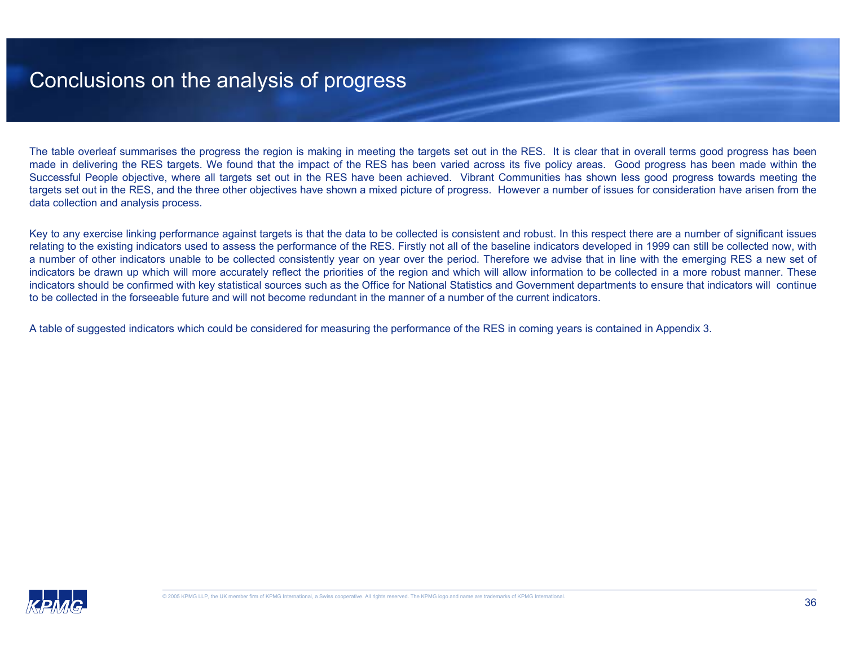### Conclusions on the analysis of progress

The table overleaf summarises the progress the region is making in meeting the targets set out in the RES. It is clear that in overall terms good progress has been made in delivering the RES targets. We found that the impact of the RES has been varied across its five policy areas. Good progress has been made within the Successful People objective, where all targets set out in the RES have been achieved. Vibrant Communities has shown less good progress towards meeting the targets set out in the RES, and the three other objectives have shown a mixed picture of progress. However a number of issues for consideration have arisen from the data collection and analysis process.

Key to any exercise linking performance against targets is that the data to be collected is consistent and robust. In this respect there are a number of significant issues relating to the existing indicators used to assess the performance of the RES. Firstly not all of the baseline indicators developed in 1999 can still be collected now, with a number of other indicators unable to be collected consistently year on year over the period. Therefore we advise that in line with the emerging RES a new set of indicators be drawn up which will more accurately reflect the priorities of the region and which will allow information to be collected in a more robust manner. These indicators should be confirmed with key statistical sources such as the Office for National Statistics and Government departments to ensure that indicators will continue to be collected in the forseeable future and will not become redundant in the manner of a number of the current indicators.

A table of suggested indicators which could be considered for measuring the performance of the RES in coming years is contained in Appendix 3.

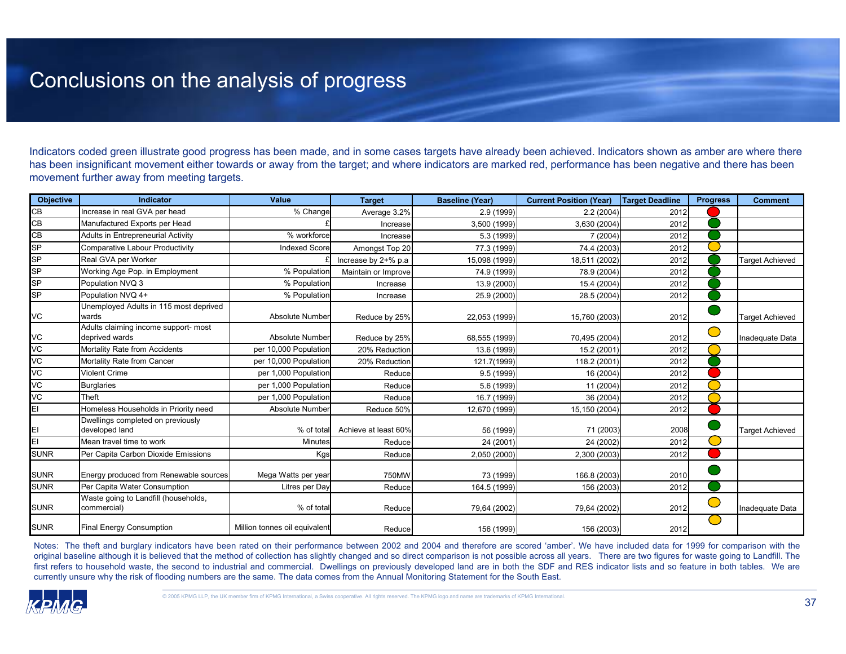### Conclusions on the analysis of progress

Indicators coded green illustrate good progress has been made, and in some cases targets have already been achieved. Indicators shown as amber are where there has been insignificant movement either towards or away from the target; and where indicators are marked red, performance has been negative and there has been movement further away from meeting targets.

| <b>Objective</b> | <b>Indicator</b>                                       | <b>Value</b>                  | <b>Target</b>        | <b>Baseline (Year)</b> | <b>Current Position (Year)</b> | Target Deadline | <b>Progress</b>                               | <b>Comment</b>         |
|------------------|--------------------------------------------------------|-------------------------------|----------------------|------------------------|--------------------------------|-----------------|-----------------------------------------------|------------------------|
| CB               | Increase in real GVA per head                          | % Change                      | Average 3.2%         | 2.9 (1999)             | 2.2(2004)                      | 2012            |                                               |                        |
| CB               | Manufactured Exports per Head                          |                               | Increase             | 3,500 (1999)           | 3,630 (2004)                   | 2012            |                                               |                        |
| CB               | Adults in Entrepreneurial Activity                     | % workforce                   | Increasel            | 5.3 (1999)             | 7(2004)                        | 2012            |                                               |                        |
| <b>SP</b>        | Comparative Labour Productivity                        | <b>Indexed Score</b>          | Amongst Top 20       | 77.3 (1999)            | 74.4 (2003)                    | 2012            |                                               |                        |
| SP               | Real GVA per Worker                                    |                               | Increase by 2+% p.a  | 15,098 (1999)          | 18,511 (2002)                  | 2012            |                                               | <b>Target Achieved</b> |
| <b>SP</b>        | Working Age Pop. in Employment                         | % Population                  | Maintain or Improve  | 74.9 (1999)            | 78.9 (2004)                    | 2012            |                                               |                        |
| <b>SP</b>        | Population NVQ 3                                       | % Population                  | Increase             | 13.9 (2000)            | 15.4 (2004)                    | 2012            |                                               |                        |
| <b>SP</b>        | Population NVQ 4+                                      | % Population                  | Increase             | 25.9 (2000)            | 28.5 (2004)                    | 2012            |                                               |                        |
| VC               | Unemployed Adults in 115 most deprived<br>wards        | Absolute Number               | Reduce by 25%        | 22,053 (1999)          | 15,760 (2003)                  | 2012            |                                               | <b>Target Achieved</b> |
| VC               | Adults claiming income support- most<br>deprived wards | Absolute Number               | Reduce by 25%        | 68,555 (1999)          | 70,495 (2004)                  | 2012            | $\left( \begin{array}{c} \end{array} \right)$ | Inadequate Data        |
| VC               | Mortality Rate from Accidents                          | per 10,000 Population         | 20% Reduction        | 13.6 (1999)            | 15.2 (2001)                    | 2012            |                                               |                        |
| VC               | Mortality Rate from Cancer                             | per 10,000 Population         | 20% Reduction        | 121.7(1999)            | 118.2 (2001)                   | 2012            |                                               |                        |
| VC               | <b>Violent Crime</b>                                   | per 1,000 Population          | Reduce               | 9.5(1999)              | 16 (2004)                      | 2012            |                                               |                        |
| VC               | <b>Burglaries</b>                                      | per 1,000 Population          | Reduce               | 5.6 (1999)             | 11 (2004)                      | 2012            |                                               |                        |
| VC               | Theft                                                  | per 1,000 Population          | Reduce               | 16.7 (1999)            | 36 (2004)                      | 2012            |                                               |                        |
| EI               | Homeless Households in Priority need                   | <b>Absolute Number</b>        | Reduce 50%           | 12,670 (1999)          | 15,150 (2004)                  | 2012            |                                               |                        |
|                  | Dwellings completed on previously<br>developed land    | % of total                    | Achieve at least 60% | 56 (1999)              | 71 (2003)                      | 2008            |                                               | <b>Target Achieved</b> |
| EI               | Mean travel time to work                               | Minutes                       | Reduce               | 24 (2001)              | 24 (2002)                      | 2012            |                                               |                        |
| <b>SUNR</b>      | Per Capita Carbon Dioxide Emissions                    | Kgs                           | Reduce               | 2,050 (2000)           | 2,300 (2003)                   | 2012            |                                               |                        |
| <b>SUNR</b>      | Energy produced from Renewable sources                 | Mega Watts per year           | 750MW                | 73 (1999)              | 166.8 (2003)                   | 2010            |                                               |                        |
| <b>SUNR</b>      | Per Capita Water Consumption                           | Litres per Day                | Reduce               | 164.5 (1999)           | 156 (2003)                     | 2012            |                                               |                        |
| <b>SUNR</b>      | Waste going to Landfill (households,<br>commercial)    | % of total                    | Reduce               | 79,64 (2002)           | 79,64 (2002)                   | 2012            | <b>Contract Contract Contract Contract</b>    | Inadequate Data        |
| <b>SUNR</b>      | <b>Final Energy Consumption</b>                        | Million tonnes oil equivalent | Reduce               | 156 (1999)             | 156 (2003)                     | 2012            | U.                                            |                        |

Notes: The theft and burglary indicators have been rated on their performance between 2002 and 2004 and therefore are scored 'amber'. We have included data for 1999 for comparison with the original baseline although it is believed that the method of collection has slightly changed and so direct comparison is not possible across all years. There are two figures for waste going to Landfill. The first refers to household waste, the second to industrial and commercial. Dwellings on previously developed land are in both the SDF and RES indicator lists and so feature in both tables. We are currently unsure why the risk of flooding numbers are the same. The data comes from the Annual Monitoring Statement for the South East.

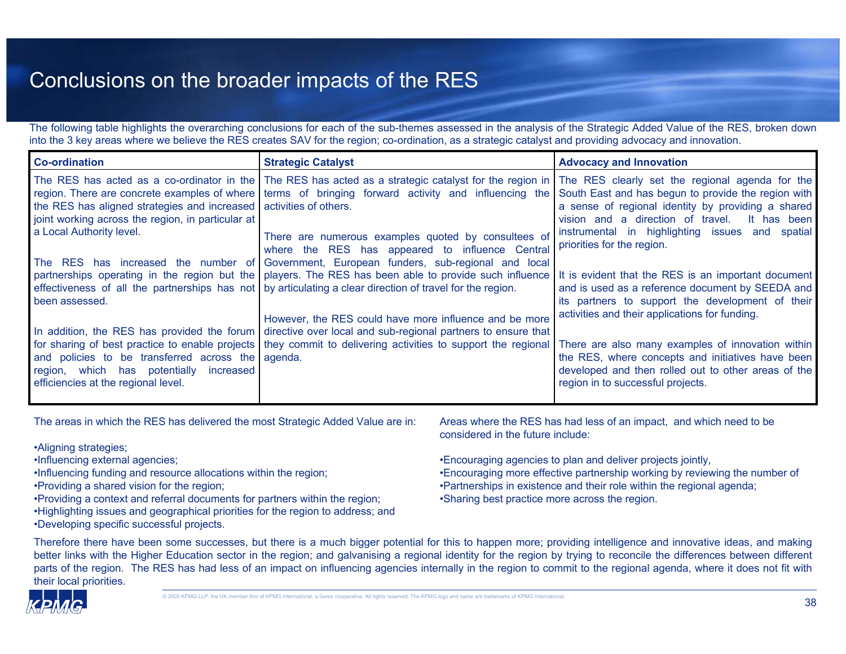### Conclusions on the broader impacts of the RES

The following table highlights the overarching conclusions for each of the sub-themes assessed in the analysis of the Strategic Added Value of the RES, broken down into the 3 key areas where we believe the RES creates SAV for the region; co-ordination, as a strategic catalyst and providing advocacy and innovation.

| <b>Co-ordination</b>                                                                                                                                | <b>Strategic Catalyst</b>                                                                                                                                                                                                                                                                                                                                                  | <b>Advocacy and Innovation</b>                                                                                                                                                                                                                 |
|-----------------------------------------------------------------------------------------------------------------------------------------------------|----------------------------------------------------------------------------------------------------------------------------------------------------------------------------------------------------------------------------------------------------------------------------------------------------------------------------------------------------------------------------|------------------------------------------------------------------------------------------------------------------------------------------------------------------------------------------------------------------------------------------------|
| the RES has aligned strategies and increased activities of others.<br>joint working across the region, in particular at<br>a Local Authority level. | The RES has acted as a co-ordinator in the The RES has acted as a strategic catalyst for the region in The RES clearly set the regional agenda for the<br>region. There are concrete examples of where   terms of bringing forward activity and influencing the<br>There are numerous examples quoted by consultees of<br>where the RES has appeared to influence Central  | South East and has begun to provide the region with<br>a sense of regional identity by providing a shared<br>vision and a direction of travel.<br>It has been<br>instrumental in highlighting issues and spatial<br>priorities for the region. |
| been assessed.                                                                                                                                      | The RES has increased the number of Government, European funders, sub-regional and local<br>partnerships operating in the region but the   players. The RES has been able to provide such influence<br>effectiveness of all the partnerships has not by articulating a clear direction of travel for the region.<br>However, the RES could have more influence and be more | It is evident that the RES is an important document<br>and is used as a reference document by SEEDA and<br>its partners to support the development of their<br>activities and their applications for funding.                                  |
| and policies to be transferred across the agenda.<br>region, which has potentially<br>increased I<br>efficiencies at the regional level.            | In addition, the RES has provided the forum directive over local and sub-regional partners to ensure that<br>for sharing of best practice to enable projects they commit to delivering activities to support the regional                                                                                                                                                  | There are also many examples of innovation within<br>the RES, where concepts and initiatives have been<br>developed and then rolled out to other areas of the<br>region in to successful projects.                                             |

The areas in which the RES has delivered the most Strategic Added Value are in:

•Aligning strategies;

•Influencing external agencies;

•Influencing funding and resource allocations within the region;

•Providing a shared vision for the region;

•Providing a context and referral documents for partners within the region;

•Highlighting issues and geographical priorities for the region to address; and •Developing specific successful projects.

Areas where the RES has had less of an impact, and which need to be considered in the future include:

•Encouraging agencies to plan and deliver projects jointly, •Encouraging more effective partnership working by reviewing the number of •Partnerships in existence and their role within the regional agenda; •Sharing best practice more across the region.

Therefore there have been some successes, but there is a much bigger potential for this to happen more; providing intelligence and innovative ideas, and making better links with the Higher Education sector in the region; and galvanising a regional identity for the region by trying to reconcile the differences between different parts of the region. The RES has had less of an impact on influencing agencies internally in the region to commit to the regional agenda, where it does not fit with their local priorities.

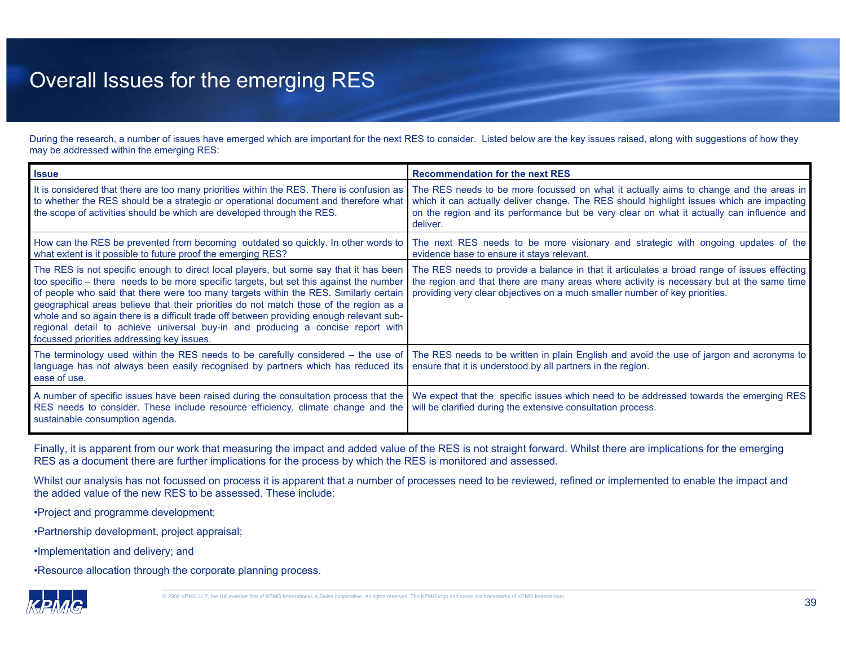### Overall Issues for the emerging RES

During the research, a number of issues have emerged which are important for the next RES to consider. Listed below are the key issues raised, along with suggestions of how they may be addressed within the emerging RES:

| <b>Issue</b>                                                                                                                                                                                                                                                                                                                                                                                                                                                                                                                                                                                     | <b>Recommendation for the next RES</b>                                                                                                                                                                                                                                                      |
|--------------------------------------------------------------------------------------------------------------------------------------------------------------------------------------------------------------------------------------------------------------------------------------------------------------------------------------------------------------------------------------------------------------------------------------------------------------------------------------------------------------------------------------------------------------------------------------------------|---------------------------------------------------------------------------------------------------------------------------------------------------------------------------------------------------------------------------------------------------------------------------------------------|
| It is considered that there are too many priorities within the RES. There is confusion as<br>to whether the RES should be a strategic or operational document and therefore what<br>the scope of activities should be which are developed through the RES.                                                                                                                                                                                                                                                                                                                                       | The RES needs to be more focussed on what it actually aims to change and the areas in<br>which it can actually deliver change. The RES should highlight issues which are impacting<br>on the region and its performance but be very clear on what it actually can influence and<br>deliver. |
| How can the RES be prevented from becoming outdated so quickly. In other words to<br>what extent is it possible to future proof the emerging RES?                                                                                                                                                                                                                                                                                                                                                                                                                                                | The next RES needs to be more visionary and strategic with ongoing updates of the<br>evidence base to ensure it stays relevant.                                                                                                                                                             |
| The RES is not specific enough to direct local players, but some say that it has been<br>too specific - there needs to be more specific targets, but set this against the number<br>of people who said that there were too many targets within the RES. Similarly certain<br>geographical areas believe that their priorities do not match those of the region as a<br>whole and so again there is a difficult trade off between providing enough relevant sub-<br>regional detail to achieve universal buy-in and producing a concise report with<br>focussed priorities addressing key issues. | The RES needs to provide a balance in that it articulates a broad range of issues effecting<br>the region and that there are many areas where activity is necessary but at the same time<br>providing very clear objectives on a much smaller number of key priorities.                     |
| language has not always been easily recognised by partners which has reduced its<br>ease of use.                                                                                                                                                                                                                                                                                                                                                                                                                                                                                                 | The terminology used within the RES needs to be carefully considered – the use of The RES needs to be written in plain English and avoid the use of jargon and acronyms to<br>ensure that it is understood by all partners in the region.                                                   |
| A number of specific issues have been raised during the consultation process that the<br>RES needs to consider. These include resource efficiency, climate change and the<br>sustainable consumption agenda.                                                                                                                                                                                                                                                                                                                                                                                     | We expect that the specific issues which need to be addressed towards the emerging RES<br>will be clarified during the extensive consultation process.                                                                                                                                      |

Finally, it is apparent from our work that measuring the impact and added value of the RES is not straight forward. Whilst there are implications for the emerging RES as a document there are further implications for the process by which the RES is monitored and assessed.

Whilst our analysis has not focussed on process it is apparent that a number of processes need to be reviewed, refined or implemented to enable the impact and the added value of the new RES to be assessed. These include:

•Project and programme development;

•Partnership development, project appraisal;

•Implementation and delivery; and

•Resource allocation through the corporate planning process.

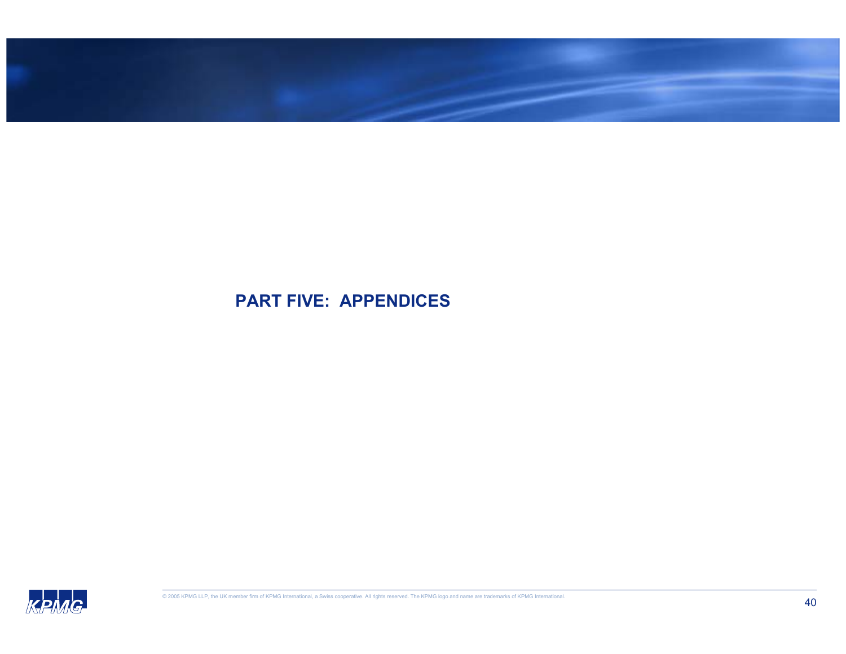

### **PART FIVE: APPENDICES**

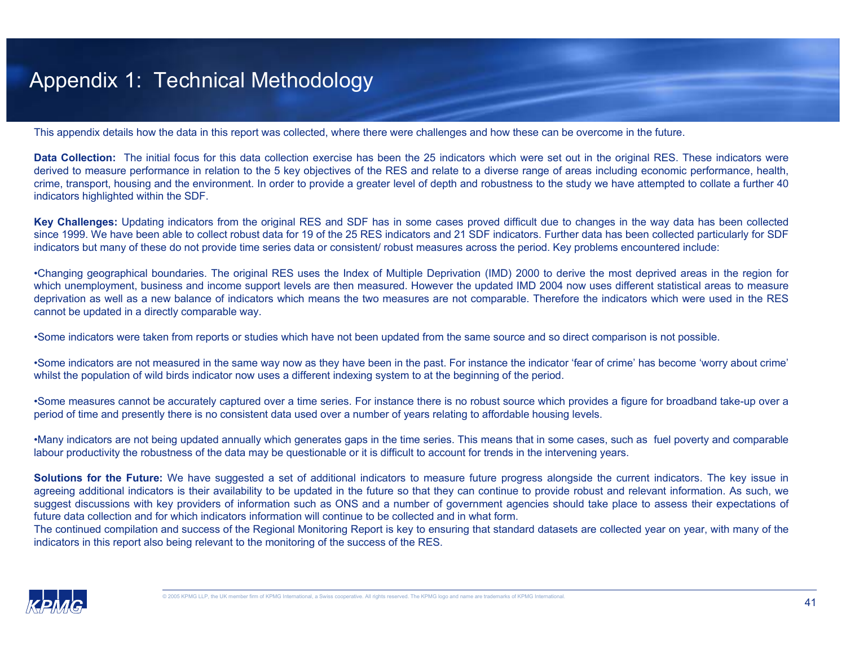### Appendix 1: Technical Methodology

This appendix details how the data in this report was collected, where there were challenges and how these can be overcome in the future.

**Data Collection:** The initial focus for this data collection exercise has been the 25 indicators which were set out in the original RES. These indicators were derived to measure performance in relation to the 5 key objectives of the RES and relate to a diverse range of areas including economic performance, health, crime, transport, housing and the environment. In order to provide a greater level of depth and robustness to the study we have attempted to collate a further 40 indicators highlighted within the SDF.

**Key Challenges:** Updating indicators from the original RES and SDF has in some cases proved difficult due to changes in the way data has been collected since 1999. We have been able to collect robust data for 19 of the 25 RES indicators and 21 SDF indicators. Further data has been collected particularly for SDF indicators but many of these do not provide time series data or consistent/ robust measures across the period. Key problems encountered include:

•Changing geographical boundaries. The original RES uses the Index of Multiple Deprivation (IMD) 2000 to derive the most deprived areas in the region for which unemployment, business and income support levels are then measured. However the updated IMD 2004 now uses different statistical areas to measure deprivation as well as a new balance of indicators which means the two measures are not comparable. Therefore the indicators which were used in the RES cannot be updated in a directly comparable way.

•Some indicators were taken from reports or studies which have not been updated from the same source and so direct comparison is not possible.

•Some indicators are not measured in the same way now as they have been in the past. For instance the indicator 'fear of crime' has become 'worry about crime' whilst the population of wild birds indicator now uses a different indexing system to at the beginning of the period.

•Some measures cannot be accurately captured over a time series. For instance there is no robust source which provides a figure for broadband take-up over a period of time and presently there is no consistent data used over a number of years relating to affordable housing levels.

•Many indicators are not being updated annually which generates gaps in the time series. This means that in some cases, such as fuel poverty and comparable labour productivity the robustness of the data may be questionable or it is difficult to account for trends in the intervening years.

**Solutions for the Future:** We have suggested a set of additional indicators to measure future progress alongside the current indicators. The key issue in agreeing additional indicators is their availability to be updated in the future so that they can continue to provide robust and relevant information. As such, we suggest discussions with key providers of information such as ONS and a number of government agencies should take place to assess their expectations of future data collection and for which indicators information will continue to be collected and in what form.

The continued compilation and success of the Regional Monitoring Report is key to ensuring that standard datasets are collected year on year, with many of the indicators in this report also being relevant to the monitoring of the success of the RES.

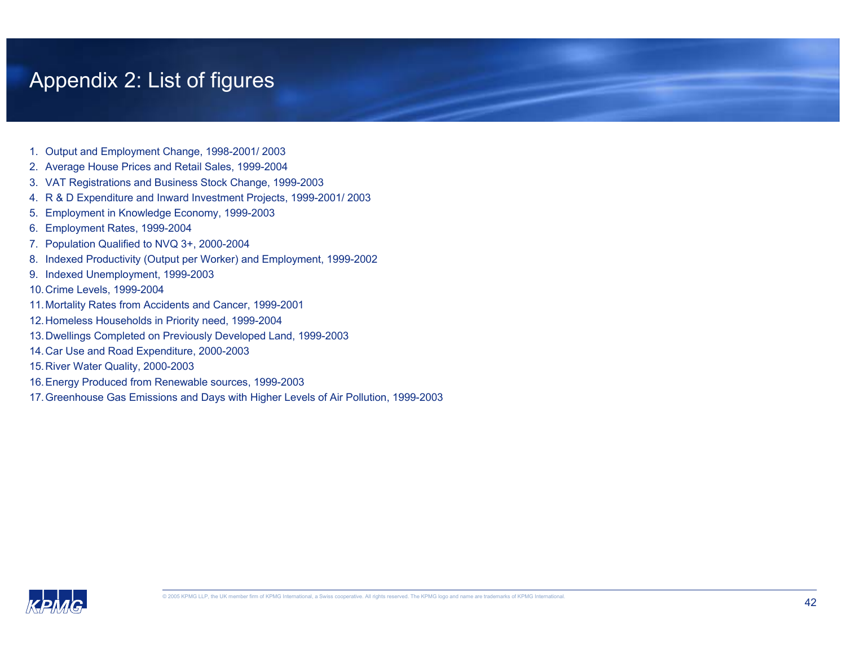## Appendix 2: List of figures

- 1. Output and Employment Change, 1998-2001/ 2003
- 2. Average House Prices and Retail Sales, 1999-2004
- 3. VAT Registrations and Business Stock Change, 1999-2003
- 4. R & D Expenditure and Inward Investment Projects, 1999-2001/ 2003
- 5. Employment in Knowledge Economy, 1999-2003
- 6. Employment Rates, 1999-2004
- 7. Population Qualified to NVQ 3+, 2000-2004
- 8. Indexed Productivity (Output per Worker) and Employment, 1999-2002
- 9. Indexed Unemployment, 1999-2003
- 10.Crime Levels, 1999-2004
- 11.Mortality Rates from Accidents and Cancer, 1999-2001
- 12.Homeless Households in Priority need, 1999-2004
- 13.Dwellings Completed on Previously Developed Land, 1999-2003
- 14.Car Use and Road Expenditure, 2000-2003
- 15.River Water Quality, 2000-2003
- 16.Energy Produced from Renewable sources, 1999-2003
- 17.Greenhouse Gas Emissions and Days with Higher Levels of Air Pollution, 1999-2003

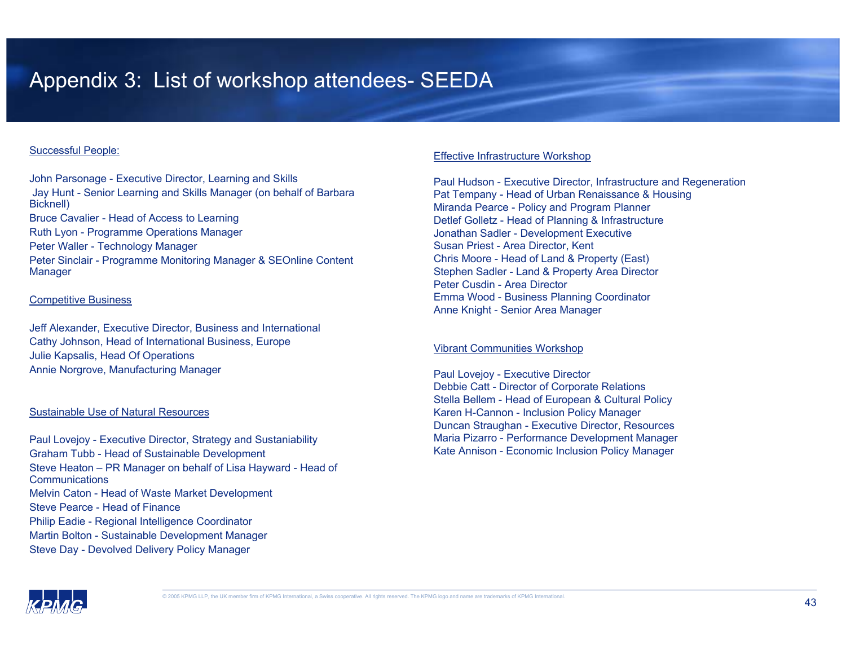## Appendix 3: List of workshop attendees- SEEDA

#### Successful People:

John Parsonage - Executive Director, Learning and Skills Jay Hunt - Senior Learning and Skills Manager (on behalf of Barbara Bicknell) Bruce Cavalier - Head of Access to Learning Ruth Lyon - Programme Operations Manager Peter Waller - Technology Manager Peter Sinclair - Programme Monitoring Manager & SEOnline Content Manager

#### Competitive Business

Jeff Alexander, Executive Director, Business and International Cathy Johnson, Head of International Business, Europe Julie Kapsalis, Head Of Operations Annie Norgrove, Manufacturing Manager

#### Sustainable Use of Natural Resources

Paul Lovejoy - Executive Director, Strategy and Sustaniability Graham Tubb - Head of Sustainable Development Steve Heaton – PR Manager on behalf of Lisa Hayward - Head of **Communications** Melvin Caton - Head of Waste Market Development Steve Pearce - Head of Finance Philip Eadie - Regional Intelligence Coordinator Martin Bolton - Sustainable Development Manager Steve Day - Devolved Delivery Policy Manager

#### Effective Infrastructure Workshop

Paul Hudson - Executive Director, Infrastructure and Regeneration Pat Tempany - Head of Urban Renaissance & Housing Miranda Pearce - Policy and Program Planner Detlef Golletz - Head of Planning & Infrastructure Jonathan Sadler - Development Executive Susan Priest - Area Director, Kent Chris Moore - Head of Land & Property (East) Stephen Sadler - Land & Property Area Director Peter Cusdin - Area Director Emma Wood - Business Planning Coordinator Anne Knight - Senior Area Manager

#### Vibrant Communities Workshop

Paul Lovejoy - Executive Director Debbie Catt - Director of Corporate Relations Stella Bellem - Head of European & Cultural Policy Karen H-Cannon - Inclusion Policy Manager Duncan Straughan - Executive Director, Resources Maria Pizarro - Performance Development Manager Kate Annison - Economic Inclusion Policy Manager

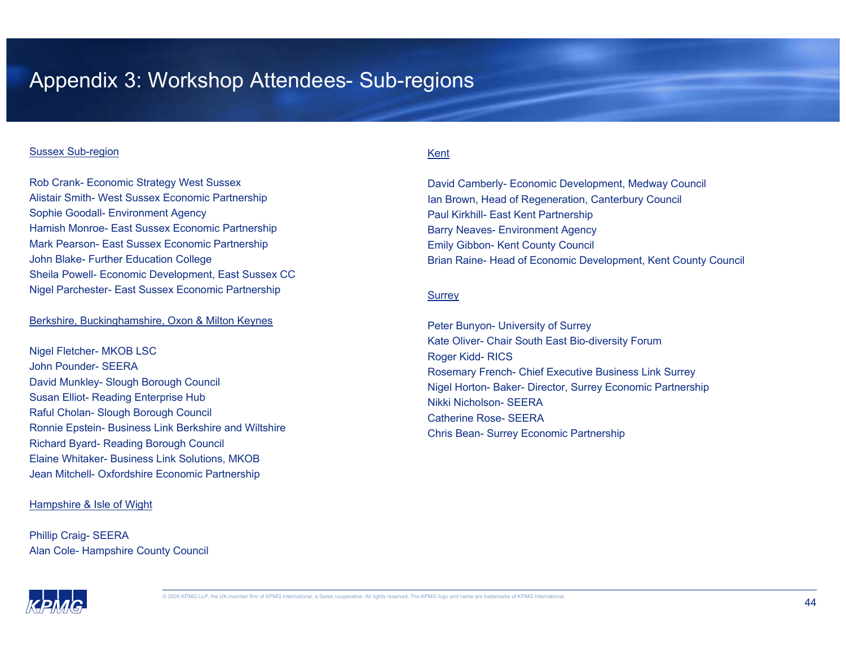### Appendix 3: Workshop Attendees- Sub-regions

#### Sussex Sub-region

Rob Crank- Economic Strategy West Sussex Alistair Smith- West Sussex Economic Partnership Sophie Goodall- Environment Agency Hamish Monroe- East Sussex Economic Partnership Mark Pearson- East Sussex Economic Partnership John Blake- Further Education College Sheila Powell- Economic Development, East Sussex CC Nigel Parchester- East Sussex Economic Partnership

#### Berkshire, Buckinghamshire, Oxon & Milton Keynes

Nigel Fletcher- MKOB LSC John Pounder- SEERADavid Munkley- Slough Borough Council Susan Elliot- Reading Enterprise Hub Raful Cholan- Slough Borough Council Ronnie Epstein- Business Link Berkshire and Wiltshire Richard Byard- Reading Borough Council Elaine Whitaker- Business Link Solutions, MKOB Jean Mitchell- Oxfordshire Economic Partnership

#### Hampshire & Isle of Wight

Phillip Craig- SEERA Alan Cole- Hampshire County Council

#### Kent

David Camberly- Economic Development, Medway Council Ian Brown, Head of Regeneration, Canterbury Council Paul Kirkhill- East Kent Partnership Barry Neaves- Environment Agency Emily Gibbon- Kent County Council Brian Raine- Head of Economic Development, Kent County Council

#### **Surrey**

Peter Bunyon- University of Surrey Kate Oliver- Chair South East Bio-diversity Forum Roger Kidd- RICS Rosemary French- Chief Executive Business Link Surrey Nigel Horton- Baker- Director, Surrey Economic Partnership Nikki Nicholson- SEERACatherine Rose- SEERAChris Bean- Surrey Economic Partnership

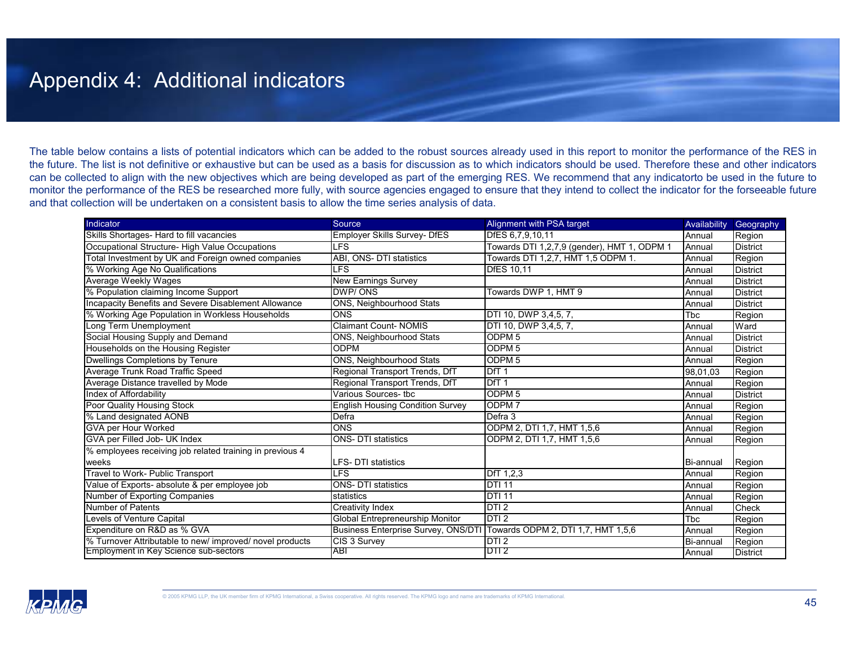### Appendix 4: Additional indicators

The table below contains a lists of potential indicators which can be added to the robust sources already used in this report to monitor the performance of the RES in the future. The list is not definitive or exhaustive but can be used as a basis for discussion as to which indicators should be used. Therefore these and other indicators can be collected to align with the new objectives which are being developed as part of the emerging RES. We recommend that any indicatorto be used in the future to monitor the performance of the RES be researched more fully, with source agencies engaged to ensure that they intend to collect the indicator for the forseeable future and that collection will be undertaken on a consistent basis to allow the time series analysis of data.

| Indicator                                                | Source                                  | Alignment with PSA target                   | Availability | Geography       |
|----------------------------------------------------------|-----------------------------------------|---------------------------------------------|--------------|-----------------|
| Skills Shortages- Hard to fill vacancies                 | <b>Employer Skills Survey- DfES</b>     | DfES 6,7,9,10,11                            | Annual       | Region          |
| Occupational Structure- High Value Occupations           | LFS                                     | Towards DTI 1,2,7,9 (gender), HMT 1, ODPM 1 | Annual       | <b>District</b> |
| Total Investment by UK and Foreign owned companies       | ONS- DTI statistics<br>ABI.             | Towards DTI 1,2,7, HMT 1,5 ODPM 1.          | Annual       | Region          |
| % Working Age No Qualifications                          | <b>LFS</b>                              | <b>DfES 10.11</b>                           | Annual       | <b>District</b> |
| Average Weekly Wages                                     | <b>New Earnings Survey</b>              |                                             | Annual       | <b>District</b> |
| % Population claiming Income Support                     | DWP/ONS                                 | Towards DWP 1, HMT 9                        | Annual       | <b>District</b> |
| Incapacity Benefits and Severe Disablement Allowance     | <b>ONS, Neighbourhood Stats</b>         |                                             | Annual       | District        |
| % Working Age Population in Workless Households          | <b>ONS</b>                              | DTI 10, DWP 3,4,5, 7,                       | <b>T</b> bc  | Region          |
| Long Term Unemployment                                   | <b>Claimant Count-NOMIS</b>             | DTI 10, DWP 3,4,5, 7,                       | Annual       | Ward            |
| Social Housing Supply and Demand                         | <b>ONS, Neighbourhood Stats</b>         | ODPM <sub>5</sub>                           | Annual       | <b>District</b> |
| Households on the Housing Register                       | <b>ODPM</b>                             | ODPM <sub>5</sub>                           | Annual       | District        |
| Dwellings Completions by Tenure                          | <b>ONS, Neighbourhood Stats</b>         | ODPM <sub>5</sub>                           | Annual       | Region          |
| Average Trunk Road Traffic Speed                         | Regional Transport Trends, DfT          | DT1                                         | 98,01,03     | Region          |
| Average Distance travelled by Mode                       | Regional Transport Trends, DfT          | DfT <sub>1</sub>                            | Annual       | Region          |
| Index of Affordability                                   | Various Sources- tbc                    | ODPM <sub>5</sub>                           | Annual       | <b>District</b> |
| Poor Quality Housing Stock                               | <b>English Housing Condition Survey</b> | ODPM <sub>7</sub>                           | Annual       | Region          |
| % Land designated AONB                                   | Defra                                   | Defra 3                                     | Annual       | Region          |
| GVA per Hour Worked                                      | <b>ONS</b>                              | ODPM 2, DTI 1.7, HMT 1.5.6                  | Annual       | Region          |
| GVA per Filled Job- UK Index                             | <b>ONS-DTI</b> statistics               | ODPM 2, DTI 1,7, HMT 1,5,6                  | Annual       | Region          |
| % employees receiving job related training in previous 4 |                                         |                                             |              |                 |
| weeks                                                    | LFS- DTI statistics                     |                                             | Bi-annual    | Region          |
| Travel to Work- Public Transport                         | <b>LFS</b>                              | DfT 1,2,3                                   | Annual       | Region          |
| Value of Exports- absolute & per employee job            | <b>ONS- DTI statistics</b>              | <b>DTI 11</b>                               | Annual       | Region          |
| Number of Exporting Companies                            | statistics                              | <b>DTI 11</b>                               | Annual       | Region          |
| <b>Number of Patents</b>                                 | Creativity Index                        | DTI <sub>2</sub>                            | Annual       | Check           |
| Levels of Venture Capital                                | Global Entrepreneurship Monitor         | DTI2                                        | <b>T</b> bc  | Region          |
| Expenditure on R&D as % GVA                              | Business Enterprise Survey, ONS/DTI     | Towards ODPM 2, DTI 1,7, HMT 1,5,6          | Annual       | Region          |
| % Turnover Attributable to new/ improved/ novel products | CIS 3 Survey                            | DTI <sub>2</sub>                            | Bi-annual    | Region          |
| Employment in Key Science sub-sectors                    | ABI                                     | DII 2                                       | Annual       | <b>District</b> |

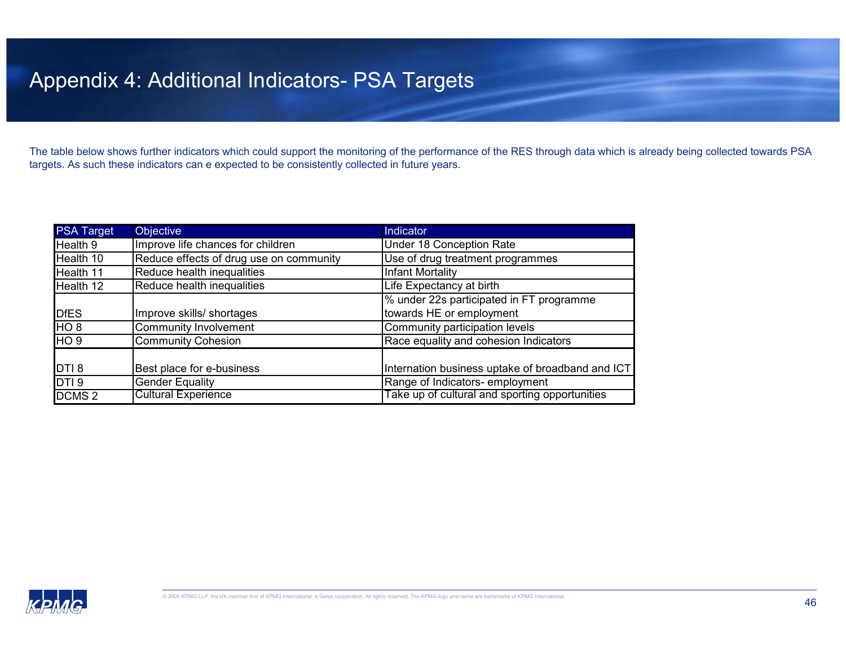## Appendix 4: Additional Indicators- PSA Targets

The table below shows further indicators which could support the monitoring of the performance of the RES through data which is already being collected towards PSA targets. As such these indicators can e expected to be consistently collected in future years.

| <b>PSA Target</b> | <b>Objective</b>                        | Indicator                                        |
|-------------------|-----------------------------------------|--------------------------------------------------|
| Health 9          | Improve life chances for children       | Under 18 Conception Rate                         |
| Health 10         | Reduce effects of drug use on community | Use of drug treatment programmes                 |
| Health 11         | Reduce health inequalities              | Infant Mortality                                 |
| Health 12         | Reduce health inequalities              | Life Expectancy at birth                         |
|                   |                                         | % under 22s participated in FT programme         |
| <b>DfES</b>       | Improve skills/ shortages               | towards HE or employment                         |
| HO <sub>8</sub>   | Community Involvement                   | Community participation levels                   |
| HO <sub>9</sub>   | <b>Community Cohesion</b>               | Race equality and cohesion Indicators            |
|                   |                                         |                                                  |
| DTI <sub>8</sub>  | Best place for e-business               | Internation business uptake of broadband and ICT |
| DTI <sub>9</sub>  | Gender Equality                         | Range of Indicators-employment                   |
| DCMS <sub>2</sub> | <b>Cultural Experience</b>              | Take up of cultural and sporting opportunities   |

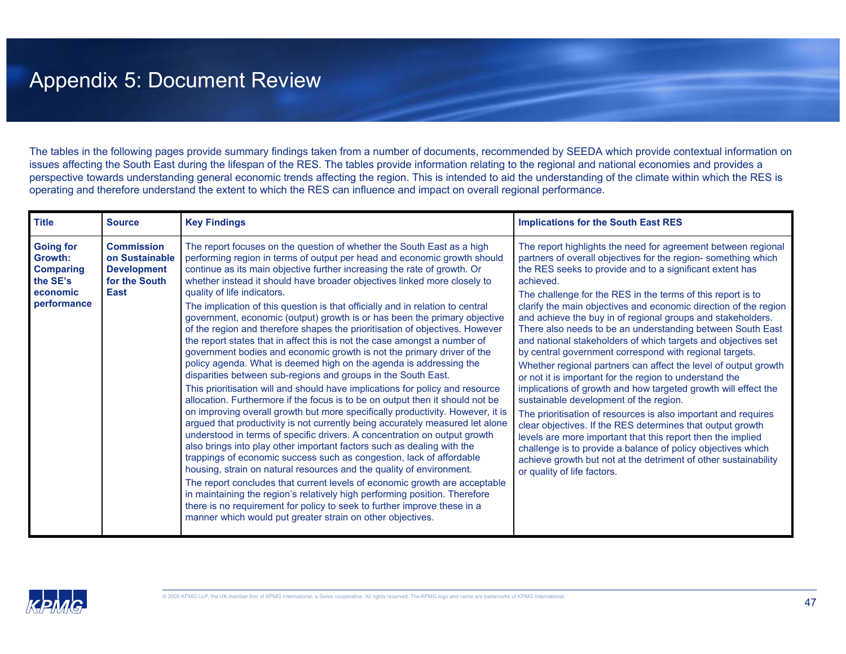## Appendix 5: Document Review

The tables in the following pages provide summary findings taken from a number of documents, recommended by SEEDA which provide contextual information on issues affecting the South East during the lifespan of the RES. The tables provide information relating to the regional and national economies and provides a perspective towards understanding general economic trends affecting the region. This is intended to aid the understanding of the climate within which the RES is operating and therefore understand the extent to which the RES can influence and impact on overall regional performance.

| <b>Title</b>                                                                                  | <b>Source</b>                                                                             | <b>Key Findings</b>                                                                                                                                                                                                                                                                                                                                                                                                                                                                                                                                                                                                                                                                                                                                                                                                                                                                                                                                                                                                                                                                                                                                                                                                                                                                                                                                                                                                                                                                                                                                                                                                                                                                                                                                                                                                                      | <b>Implications for the South East RES</b>                                                                                                                                                                                                                                                                                                                                                                                                                                                                                                                                                                                                                                                                                                                                                                                                                                                                                                                                                                                                                                                                                                                                                                     |
|-----------------------------------------------------------------------------------------------|-------------------------------------------------------------------------------------------|------------------------------------------------------------------------------------------------------------------------------------------------------------------------------------------------------------------------------------------------------------------------------------------------------------------------------------------------------------------------------------------------------------------------------------------------------------------------------------------------------------------------------------------------------------------------------------------------------------------------------------------------------------------------------------------------------------------------------------------------------------------------------------------------------------------------------------------------------------------------------------------------------------------------------------------------------------------------------------------------------------------------------------------------------------------------------------------------------------------------------------------------------------------------------------------------------------------------------------------------------------------------------------------------------------------------------------------------------------------------------------------------------------------------------------------------------------------------------------------------------------------------------------------------------------------------------------------------------------------------------------------------------------------------------------------------------------------------------------------------------------------------------------------------------------------------------------------|----------------------------------------------------------------------------------------------------------------------------------------------------------------------------------------------------------------------------------------------------------------------------------------------------------------------------------------------------------------------------------------------------------------------------------------------------------------------------------------------------------------------------------------------------------------------------------------------------------------------------------------------------------------------------------------------------------------------------------------------------------------------------------------------------------------------------------------------------------------------------------------------------------------------------------------------------------------------------------------------------------------------------------------------------------------------------------------------------------------------------------------------------------------------------------------------------------------|
| <b>Going for</b><br><b>Growth:</b><br><b>Comparing</b><br>the SE's<br>economic<br>performance | <b>Commission</b><br>on Sustainable<br><b>Development</b><br>for the South<br><b>East</b> | The report focuses on the question of whether the South East as a high<br>performing region in terms of output per head and economic growth should<br>continue as its main objective further increasing the rate of growth. Or<br>whether instead it should have broader objectives linked more closely to<br>quality of life indicators.<br>The implication of this question is that officially and in relation to central<br>government, economic (output) growth is or has been the primary objective<br>of the region and therefore shapes the prioritisation of objectives. However<br>the report states that in affect this is not the case amongst a number of<br>government bodies and economic growth is not the primary driver of the<br>policy agenda. What is deemed high on the agenda is addressing the<br>disparities between sub-regions and groups in the South East.<br>This prioritisation will and should have implications for policy and resource<br>allocation. Furthermore if the focus is to be on output then it should not be<br>on improving overall growth but more specifically productivity. However, it is<br>argued that productivity is not currently being accurately measured let alone<br>understood in terms of specific drivers. A concentration on output growth<br>also brings into play other important factors such as dealing with the<br>trappings of economic success such as congestion, lack of affordable<br>housing, strain on natural resources and the quality of environment.<br>The report concludes that current levels of economic growth are acceptable<br>in maintaining the region's relatively high performing position. Therefore<br>there is no requirement for policy to seek to further improve these in a<br>manner which would put greater strain on other objectives. | The report highlights the need for agreement between regional<br>partners of overall objectives for the region-something which<br>the RES seeks to provide and to a significant extent has<br>achieved.<br>The challenge for the RES in the terms of this report is to<br>clarify the main objectives and economic direction of the region<br>and achieve the buy in of regional groups and stakeholders.<br>There also needs to be an understanding between South East<br>and national stakeholders of which targets and objectives set<br>by central government correspond with regional targets.<br>Whether regional partners can affect the level of output growth<br>or not it is important for the region to understand the<br>implications of growth and how targeted growth will effect the<br>sustainable development of the region.<br>The prioritisation of resources is also important and requires<br>clear objectives. If the RES determines that output growth<br>levels are more important that this report then the implied<br>challenge is to provide a balance of policy objectives which<br>achieve growth but not at the detriment of other sustainability<br>or quality of life factors. |

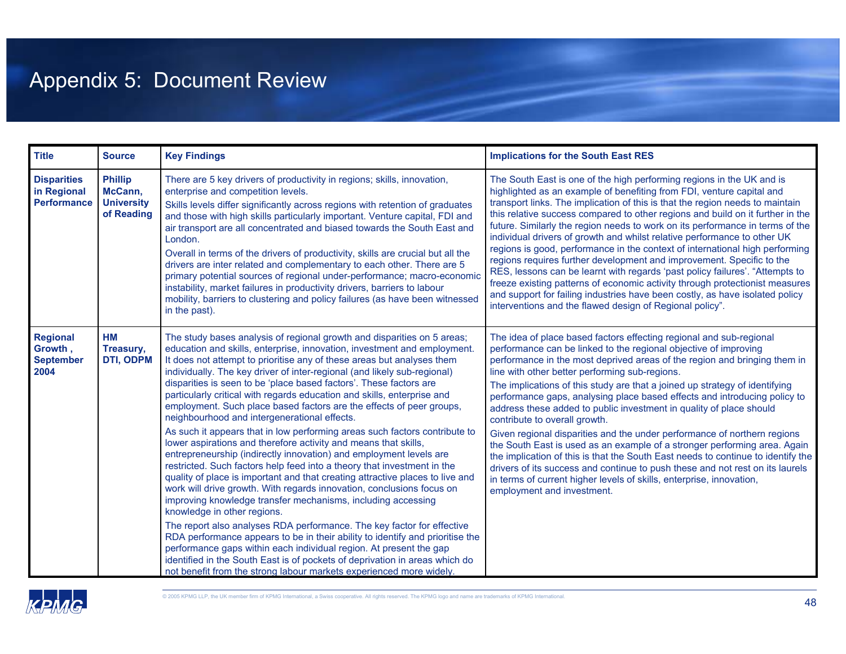# Appendix 5: Document Review

| <b>Title</b>                                            | <b>Source</b>                                                | <b>Key Findings</b>                                                                                                                                                                                                                                                                                                                                                                                                                                                                                                                                                                                                                                                                                                                                                                                                                                                                                                                                                                                                                                                                                                                                                                                                                                                                                                                                                                                                                                                                                                                  | <b>Implications for the South East RES</b>                                                                                                                                                                                                                                                                                                                                                                                                                                                                                                                                                                                                                                                                                                                                                                                                                                                                                                                                     |
|---------------------------------------------------------|--------------------------------------------------------------|--------------------------------------------------------------------------------------------------------------------------------------------------------------------------------------------------------------------------------------------------------------------------------------------------------------------------------------------------------------------------------------------------------------------------------------------------------------------------------------------------------------------------------------------------------------------------------------------------------------------------------------------------------------------------------------------------------------------------------------------------------------------------------------------------------------------------------------------------------------------------------------------------------------------------------------------------------------------------------------------------------------------------------------------------------------------------------------------------------------------------------------------------------------------------------------------------------------------------------------------------------------------------------------------------------------------------------------------------------------------------------------------------------------------------------------------------------------------------------------------------------------------------------------|--------------------------------------------------------------------------------------------------------------------------------------------------------------------------------------------------------------------------------------------------------------------------------------------------------------------------------------------------------------------------------------------------------------------------------------------------------------------------------------------------------------------------------------------------------------------------------------------------------------------------------------------------------------------------------------------------------------------------------------------------------------------------------------------------------------------------------------------------------------------------------------------------------------------------------------------------------------------------------|
| <b>Disparities</b><br>in Regional<br><b>Performance</b> | <b>Phillip</b><br>McCann,<br><b>University</b><br>of Reading | There are 5 key drivers of productivity in regions; skills, innovation,<br>enterprise and competition levels.<br>Skills levels differ significantly across regions with retention of graduates<br>and those with high skills particularly important. Venture capital, FDI and<br>air transport are all concentrated and biased towards the South East and<br>London.<br>Overall in terms of the drivers of productivity, skills are crucial but all the<br>drivers are inter related and complementary to each other. There are 5<br>primary potential sources of regional under-performance; macro-economic<br>instability, market failures in productivity drivers, barriers to labour<br>mobility, barriers to clustering and policy failures (as have been witnessed<br>in the past).                                                                                                                                                                                                                                                                                                                                                                                                                                                                                                                                                                                                                                                                                                                                            | The South East is one of the high performing regions in the UK and is<br>highlighted as an example of benefiting from FDI, venture capital and<br>transport links. The implication of this is that the region needs to maintain<br>this relative success compared to other regions and build on it further in the<br>future. Similarly the region needs to work on its performance in terms of the<br>individual drivers of growth and whilst relative performance to other UK<br>regions is good, performance in the context of international high performing<br>regions requires further development and improvement. Specific to the<br>RES, lessons can be learnt with regards 'past policy failures'. "Attempts to<br>freeze existing patterns of economic activity through protectionist measures<br>and support for failing industries have been costly, as have isolated policy<br>interventions and the flawed design of Regional policy".                            |
| <b>Regional</b><br>Growth,<br><b>September</b><br>2004  | <b>HM</b><br>Treasury,<br><b>DTI, ODPM</b>                   | The study bases analysis of regional growth and disparities on 5 areas;<br>education and skills, enterprise, innovation, investment and employment.<br>It does not attempt to prioritise any of these areas but analyses them<br>individually. The key driver of inter-regional (and likely sub-regional)<br>disparities is seen to be 'place based factors'. These factors are<br>particularly critical with regards education and skills, enterprise and<br>employment. Such place based factors are the effects of peer groups,<br>neighbourhood and intergenerational effects.<br>As such it appears that in low performing areas such factors contribute to<br>lower aspirations and therefore activity and means that skills,<br>entrepreneurship (indirectly innovation) and employment levels are<br>restricted. Such factors help feed into a theory that investment in the<br>quality of place is important and that creating attractive places to live and<br>work will drive growth. With regards innovation, conclusions focus on<br>improving knowledge transfer mechanisms, including accessing<br>knowledge in other regions.<br>The report also analyses RDA performance. The key factor for effective<br>RDA performance appears to be in their ability to identify and prioritise the<br>performance gaps within each individual region. At present the gap<br>identified in the South East is of pockets of deprivation in areas which do<br>not benefit from the strong labour markets experienced more widely. | The idea of place based factors effecting regional and sub-regional<br>performance can be linked to the regional objective of improving<br>performance in the most deprived areas of the region and bringing them in<br>line with other better performing sub-regions.<br>The implications of this study are that a joined up strategy of identifying<br>performance gaps, analysing place based effects and introducing policy to<br>address these added to public investment in quality of place should<br>contribute to overall growth.<br>Given regional disparities and the under performance of northern regions<br>the South East is used as an example of a stronger performing area. Again<br>the implication of this is that the South East needs to continue to identify the<br>drivers of its success and continue to push these and not rest on its laurels<br>in terms of current higher levels of skills, enterprise, innovation,<br>employment and investment. |

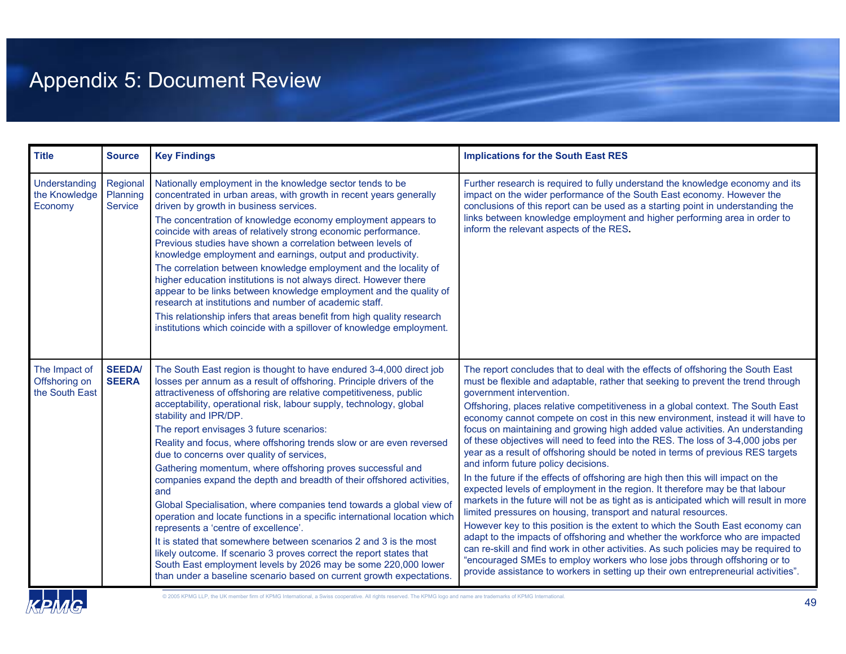# Appendix 5: Document Review

| <b>Title</b>                                     | <b>Source</b>                   | <b>Key Findings</b>                                                                                                                                                                                                                                                                                                                                                                                                                                                                                                                                                                                                                                                                                                                                                                                                                                                                                                                                                                                                                                                                                               | <b>Implications for the South East RES</b>                                                                                                                                                                                                                                                                                                                                                                                                                                                                                                                                                                                                                                                                                                                                                                                                                                                                                                                                                                                                                                                                                                                                                                                                                                                                                                                                                                                         |
|--------------------------------------------------|---------------------------------|-------------------------------------------------------------------------------------------------------------------------------------------------------------------------------------------------------------------------------------------------------------------------------------------------------------------------------------------------------------------------------------------------------------------------------------------------------------------------------------------------------------------------------------------------------------------------------------------------------------------------------------------------------------------------------------------------------------------------------------------------------------------------------------------------------------------------------------------------------------------------------------------------------------------------------------------------------------------------------------------------------------------------------------------------------------------------------------------------------------------|------------------------------------------------------------------------------------------------------------------------------------------------------------------------------------------------------------------------------------------------------------------------------------------------------------------------------------------------------------------------------------------------------------------------------------------------------------------------------------------------------------------------------------------------------------------------------------------------------------------------------------------------------------------------------------------------------------------------------------------------------------------------------------------------------------------------------------------------------------------------------------------------------------------------------------------------------------------------------------------------------------------------------------------------------------------------------------------------------------------------------------------------------------------------------------------------------------------------------------------------------------------------------------------------------------------------------------------------------------------------------------------------------------------------------------|
| <b>Understanding</b><br>the Knowledge<br>Economy | Regional<br>Planning<br>Service | Nationally employment in the knowledge sector tends to be.<br>concentrated in urban areas, with growth in recent years generally<br>driven by growth in business services.<br>The concentration of knowledge economy employment appears to<br>coincide with areas of relatively strong economic performance.<br>Previous studies have shown a correlation between levels of<br>knowledge employment and earnings, output and productivity.<br>The correlation between knowledge employment and the locality of<br>higher education institutions is not always direct. However there<br>appear to be links between knowledge employment and the quality of<br>research at institutions and number of academic staff.<br>This relationship infers that areas benefit from high quality research<br>institutions which coincide with a spillover of knowledge employment.                                                                                                                                                                                                                                            | Further research is required to fully understand the knowledge economy and its<br>impact on the wider performance of the South East economy. However the<br>conclusions of this report can be used as a starting point in understanding the<br>links between knowledge employment and higher performing area in order to<br>inform the relevant aspects of the RES.                                                                                                                                                                                                                                                                                                                                                                                                                                                                                                                                                                                                                                                                                                                                                                                                                                                                                                                                                                                                                                                                |
| The Impact of<br>Offshoring on<br>the South East | <b>SEEDA/</b><br><b>SEERA</b>   | The South East region is thought to have endured 3-4,000 direct job<br>losses per annum as a result of offshoring. Principle drivers of the<br>attractiveness of offshoring are relative competitiveness, public<br>acceptability, operational risk, labour supply, technology, global<br>stability and IPR/DP.<br>The report envisages 3 future scenarios:<br>Reality and focus, where offshoring trends slow or are even reversed<br>due to concerns over quality of services,<br>Gathering momentum, where offshoring proves successful and<br>companies expand the depth and breadth of their offshored activities,<br>and<br>Global Specialisation, where companies tend towards a global view of<br>operation and locate functions in a specific international location which<br>represents a 'centre of excellence'.<br>It is stated that somewhere between scenarios 2 and 3 is the most<br>likely outcome. If scenario 3 proves correct the report states that<br>South East employment levels by 2026 may be some 220,000 lower<br>than under a baseline scenario based on current growth expectations. | The report concludes that to deal with the effects of offshoring the South East<br>must be flexible and adaptable, rather that seeking to prevent the trend through<br>government intervention.<br>Offshoring, places relative competitiveness in a global context. The South East<br>economy cannot compete on cost in this new environment, instead it will have to<br>focus on maintaining and growing high added value activities. An understanding<br>of these objectives will need to feed into the RES. The loss of 3-4,000 jobs per<br>year as a result of offshoring should be noted in terms of previous RES targets<br>and inform future policy decisions.<br>In the future if the effects of offshoring are high then this will impact on the<br>expected levels of employment in the region. It therefore may be that labour<br>markets in the future will not be as tight as is anticipated which will result in more<br>limited pressures on housing, transport and natural resources.<br>However key to this position is the extent to which the South East economy can<br>adapt to the impacts of offshoring and whether the workforce who are impacted<br>can re-skill and find work in other activities. As such policies may be required to<br>"encouraged SMEs to employ workers who lose jobs through offshoring or to<br>provide assistance to workers in setting up their own entrepreneurial activities". |

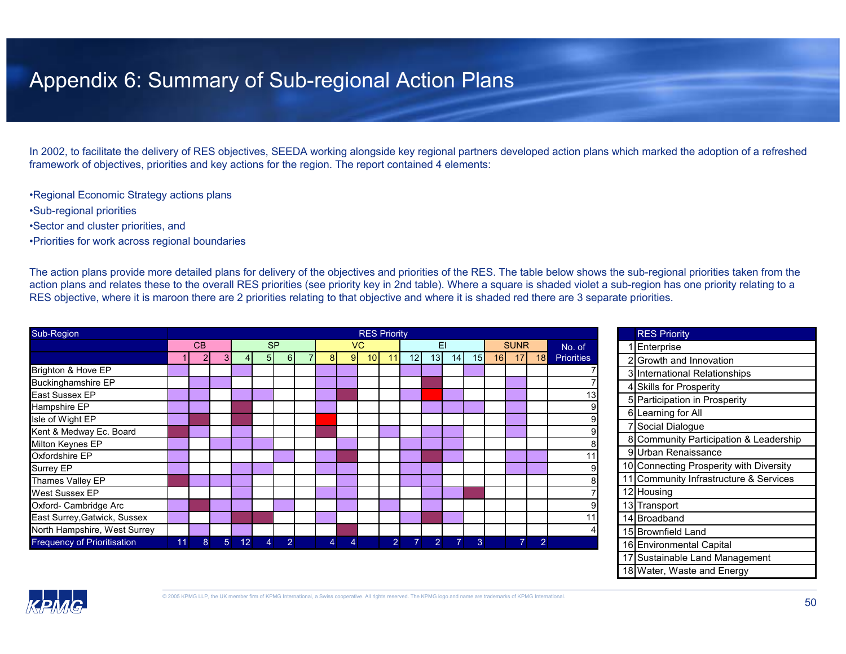### Appendix 6: Summary of Sub-regional Action Plans

In 2002, to facilitate the delivery of RES objectives, SEEDA working alongside key regional partners developed action plans which marked the adoption of a refreshed framework of objectives, priorities and key actions for the region. The report contained 4 elements:

•Regional Economic Strategy actions plans

- •Sub-regional priorities
- •Sector and cluster priorities, and
- •Priorities for work across regional boundaries

The action plans provide more detailed plans for delivery of the objectives and priorities of the RES. The table below shows the sub-regional priorities taken from the action plans and relates these to the overall RES priorities (see priority key in 2nd table). Where a square is shaded violet a sub-region has one priority relating to a RES objective, where it is maroon there are 2 priorities relating to that objective and where it is shaded red there are 3 separate priorities.

| Sub-Region                         |    | <b>RES Priority</b> |                |                 |                |                |  |                |    |                 |                |                |                 |                |                 |    | <b>RES Priority</b> |                |                   |  |                  |
|------------------------------------|----|---------------------|----------------|-----------------|----------------|----------------|--|----------------|----|-----------------|----------------|----------------|-----------------|----------------|-----------------|----|---------------------|----------------|-------------------|--|------------------|
|                                    |    | CB                  |                |                 |                | <b>SP</b>      |  |                |    | VC.             |                |                |                 | EI             |                 |    | <b>SUNR</b>         |                | No. of            |  | Enterprise       |
|                                    |    | $\overline{2}$      | 3 <sub>l</sub> | 41              | 5 <sup>1</sup> | 6 <sup>1</sup> |  | 8 <sup>1</sup> | 91 | 10 <sup>1</sup> | 11             | 12             | 13 <sup>1</sup> | 14             | 15 <sup>1</sup> | 16 | 17                  | 18             | <b>Priorities</b> |  | 2 Growth and     |
| Brighton & Hove EP                 |    |                     |                |                 |                |                |  |                |    |                 |                |                |                 |                |                 |    |                     |                |                   |  | 3 Internationa   |
| <b>Buckinghamshire EP</b>          |    |                     |                |                 |                |                |  |                |    |                 |                |                |                 |                |                 |    |                     |                |                   |  | 4 Skills for Pro |
| East Sussex EP                     |    |                     |                |                 |                |                |  |                |    |                 |                |                |                 |                |                 |    |                     |                | 13 <sub>l</sub>   |  | 5 Participation  |
| Hampshire EP                       |    |                     |                |                 |                |                |  |                |    |                 |                |                |                 |                |                 |    |                     |                |                   |  | 6 Learning for   |
| Isle of Wight EP                   |    |                     |                |                 |                |                |  |                |    |                 |                |                |                 |                |                 |    |                     |                |                   |  |                  |
| Kent & Medway Ec. Board            |    |                     |                |                 |                |                |  |                |    |                 |                |                |                 |                |                 |    |                     |                |                   |  | Social Dialo     |
| Milton Keynes EP                   |    |                     |                |                 |                |                |  |                |    |                 |                |                |                 |                |                 |    |                     |                |                   |  | 8 Community      |
| Oxfordshire EP                     |    |                     |                |                 |                |                |  |                |    |                 |                |                |                 |                |                 |    |                     |                |                   |  | 9 Urban Rena     |
| Surrey EP                          |    |                     |                |                 |                |                |  |                |    |                 |                |                |                 |                |                 |    |                     |                |                   |  | 10 Connecting    |
| Thames Valley EP                   |    |                     |                |                 |                |                |  |                |    |                 |                |                |                 |                |                 |    |                     |                |                   |  | 11 Community     |
| <b>West Sussex EP</b>              |    |                     |                |                 |                |                |  |                |    |                 |                |                |                 |                |                 |    |                     |                |                   |  | 12 Housing       |
| Oxford- Cambridge Arc              |    |                     |                |                 |                |                |  |                |    |                 |                |                |                 |                |                 |    |                     |                |                   |  | 13 Transport     |
| East Surrey, Gatwick, Sussex       |    |                     |                |                 |                |                |  |                |    |                 |                |                |                 |                |                 |    |                     |                | 11                |  | 14 Broadband     |
| North Hampshire, West Surrey       |    |                     |                |                 |                |                |  |                |    |                 |                |                |                 |                |                 |    |                     |                |                   |  | 15 Brownfield L  |
| <b>Frequency of Prioritisation</b> | 11 | 8                   | 5 <sup>5</sup> | 12 <sup>1</sup> | $\overline{4}$ | $\overline{2}$ |  | 4              | 4  |                 | 2 <sup>1</sup> | 7 <sup>1</sup> | $\overline{2}$  | $\overline{7}$ | 3               |    | 71                  | $\overline{2}$ |                   |  | 16 Environmen    |
|                                    |    |                     |                |                 |                |                |  |                |    |                 |                |                |                 |                |                 |    |                     |                |                   |  | 17 Suctainable   |

|    | <b>RES PHONIV</b>                       |  |  |  |  |  |
|----|-----------------------------------------|--|--|--|--|--|
|    | Enterprise                              |  |  |  |  |  |
| 2  | Growth and Innovation                   |  |  |  |  |  |
|    | 3 International Relationships           |  |  |  |  |  |
|    | 4 Skills for Prosperity                 |  |  |  |  |  |
| 51 | Participation in Prosperity             |  |  |  |  |  |
|    | 6 Learning for All                      |  |  |  |  |  |
| 7  | Social Dialogue                         |  |  |  |  |  |
|    | 8 Community Participation & Leadership  |  |  |  |  |  |
| 9  | Urban Renaissance                       |  |  |  |  |  |
|    | 10 Connecting Prosperity with Diversity |  |  |  |  |  |
|    | 11 Community Infrastructure & Services  |  |  |  |  |  |
|    | 12 Housing                              |  |  |  |  |  |
|    | 13 Transport                            |  |  |  |  |  |
|    | 14 Broadband                            |  |  |  |  |  |
|    | 15 Brownfield Land                      |  |  |  |  |  |
|    | 16 Environmental Capital                |  |  |  |  |  |
|    | 17 Sustainable Land Management          |  |  |  |  |  |
|    | 18 Water, Waste and Energy              |  |  |  |  |  |